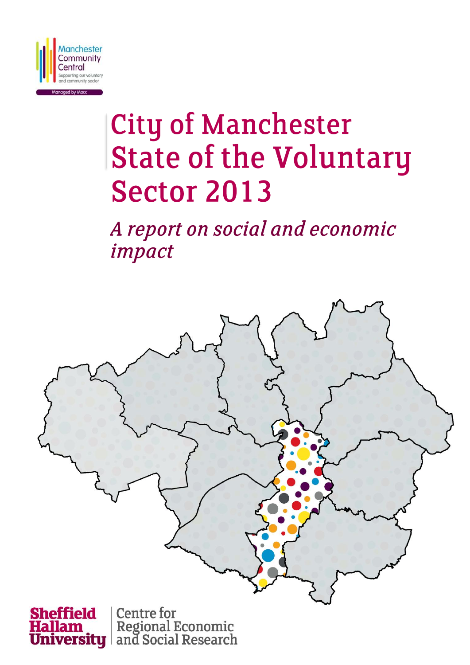

# **City of Manchester State of the Voluntary Sector 2013**

A report on social and economic impact



Regional Economic<br>and Social Research rersity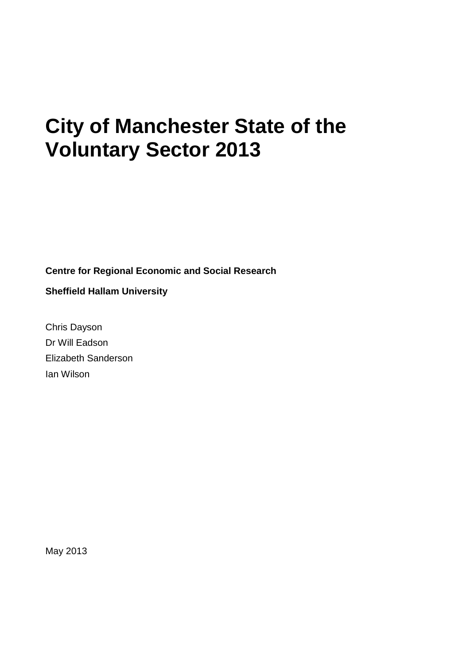# **City of Manchester State of the Voluntary Sector 2013**

**Centre for Regional Economic and Social Research**

**Sheffield Hallam University**

Chris Dayson Dr Will Eadson Elizabeth Sanderson Ian Wilson

May 2013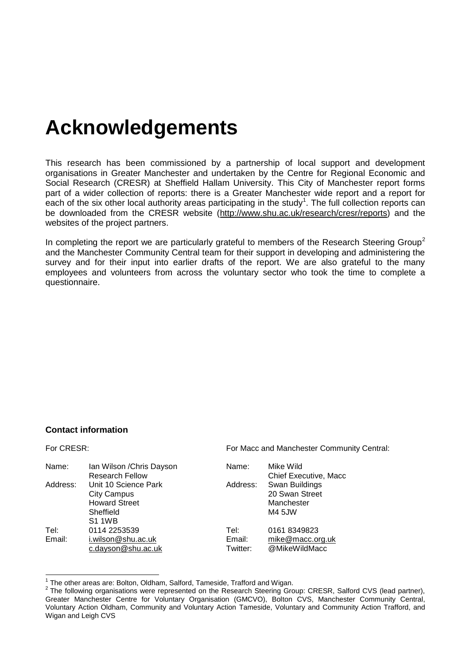## **Acknowledgements**

This research has been commissioned by a partnership of local support and development organisations in Greater Manchester and undertaken by the Centre for Regional Economic and Social Research (CRESR) at Sheffield Hallam University. This City of Manchester report forms part of a wider collection of reports: there is a Greater Manchester wide report and a report for each of the six other local authority areas participating in the study<sup>1</sup>. The full collection reports can be downloaded from the CRESR website [\(http://www.shu.ac.uk/research/cresr/reports\)](http://www.shu.ac.uk/research/cresr/reports) and the websites of the project partners.

In completing the report we are particularly grateful to members of the Research Steering Group<sup>2</sup> and the Manchester Community Central team for their support in developing and administering the survey and for their input into earlier drafts of the report. We are also grateful to the many employees and volunteers from across the voluntary sector who took the time to complete a questionnaire.

#### **Contact information**

For CRESR: For Macc and Manchester Community Central:

| Name:    | Ian Wilson / Chris Dayson | Name:    | Mike Wild             |
|----------|---------------------------|----------|-----------------------|
|          | <b>Research Fellow</b>    |          | Chief Executive, Macc |
| Address: | Unit 10 Science Park      | Address: | Swan Buildings        |
|          | <b>City Campus</b>        |          | 20 Swan Street        |
|          | <b>Howard Street</b>      |          | Manchester            |
|          | Sheffield                 |          | M4 5JW                |
|          | <b>S1 1WB</b>             |          |                       |
| Tel:     | 0114 2253539              | Tel:     | 0161 8349823          |
| Email:   | i.wilson@shu.ac.uk        | Email:   | mike@macc.org.uk      |
|          | c.dayson@shu.ac.uk        | Twitter: | @MikeWildMacc         |

<sup>1</sup> The other areas are: Bolton, Oldham, Salford, Tameside, Trafford and Wigan.

 $2$  The following organisations were represented on the Research Steering Group: CRESR, Salford CVS (lead partner), Greater Manchester Centre for Voluntary Organisation (GMCVO), Bolton CVS, Manchester Community Central, Voluntary Action Oldham, Community and Voluntary Action Tameside, Voluntary and Community Action Trafford, and Wigan and Leigh CVS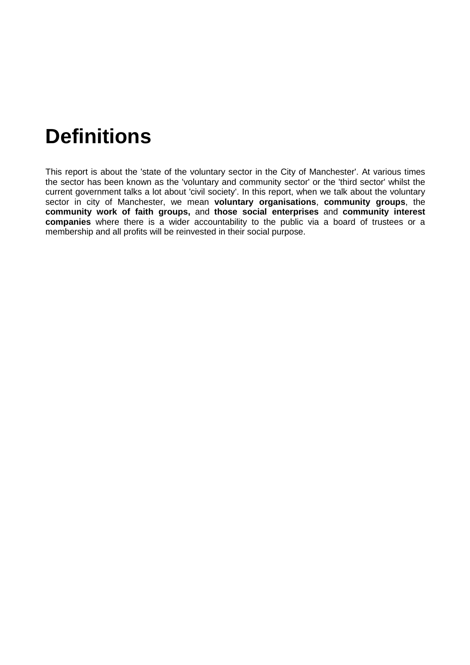# **Definitions**

This report is about the 'state of the voluntary sector in the City of Manchester'. At various times the sector has been known as the 'voluntary and community sector' or the 'third sector' whilst the current government talks a lot about 'civil society'. In this report, when we talk about the voluntary sector in city of Manchester, we mean **voluntary organisations**, **community groups**, the **community work of faith groups,** and **those social enterprises** and **community interest companies** where there is a wider accountability to the public via a board of trustees or a membership and all profits will be reinvested in their social purpose.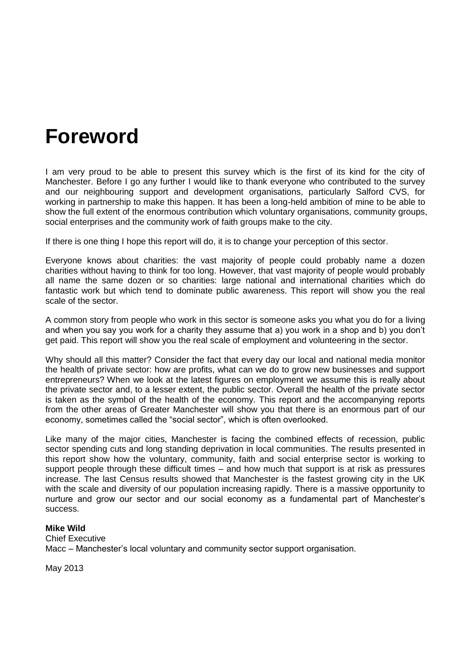### **Foreword**

I am very proud to be able to present this survey which is the first of its kind for the city of Manchester. Before I go any further I would like to thank everyone who contributed to the survey and our neighbouring support and development organisations, particularly Salford CVS, for working in partnership to make this happen. It has been a long-held ambition of mine to be able to show the full extent of the enormous contribution which voluntary organisations, community groups, social enterprises and the community work of faith groups make to the city.

If there is one thing I hope this report will do, it is to change your perception of this sector.

Everyone knows about charities: the vast majority of people could probably name a dozen charities without having to think for too long. However, that vast majority of people would probably all name the same dozen or so charities: large national and international charities which do fantastic work but which tend to dominate public awareness. This report will show you the real scale of the sector.

A common story from people who work in this sector is someone asks you what you do for a living and when you say you work for a charity they assume that a) you work in a shop and b) you don't get paid. This report will show you the real scale of employment and volunteering in the sector.

Why should all this matter? Consider the fact that every day our local and national media monitor the health of private sector: how are profits, what can we do to grow new businesses and support entrepreneurs? When we look at the latest figures on employment we assume this is really about the private sector and, to a lesser extent, the public sector. Overall the health of the private sector is taken as the symbol of the health of the economy. This report and the accompanying reports from the other areas of Greater Manchester will show you that there is an enormous part of our economy, sometimes called the "social sector", which is often overlooked.

Like many of the major cities, Manchester is facing the combined effects of recession, public sector spending cuts and long standing deprivation in local communities. The results presented in this report show how the voluntary, community, faith and social enterprise sector is working to support people through these difficult times – and how much that support is at risk as pressures increase. The last Census results showed that Manchester is the fastest growing city in the UK with the scale and diversity of our population increasing rapidly. There is a massive opportunity to nurture and grow our sector and our social economy as a fundamental part of Manchester's success.

#### **Mike Wild**

Chief Executive Macc – Manchester's local voluntary and community sector support organisation.

May 2013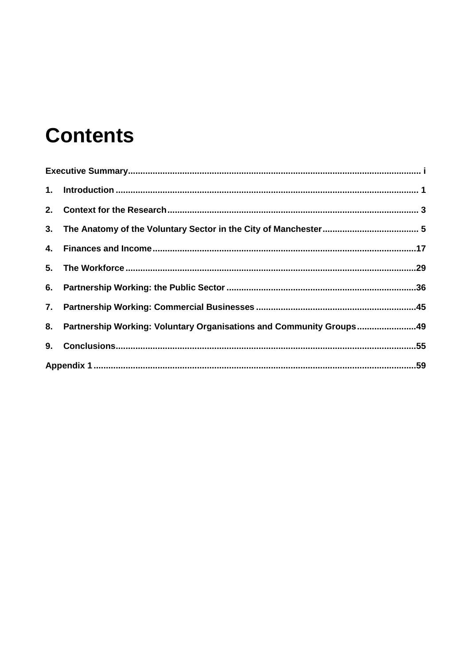# **Contents**

| 8. Partnership Working: Voluntary Organisations and Community Groups49 |  |
|------------------------------------------------------------------------|--|
|                                                                        |  |
|                                                                        |  |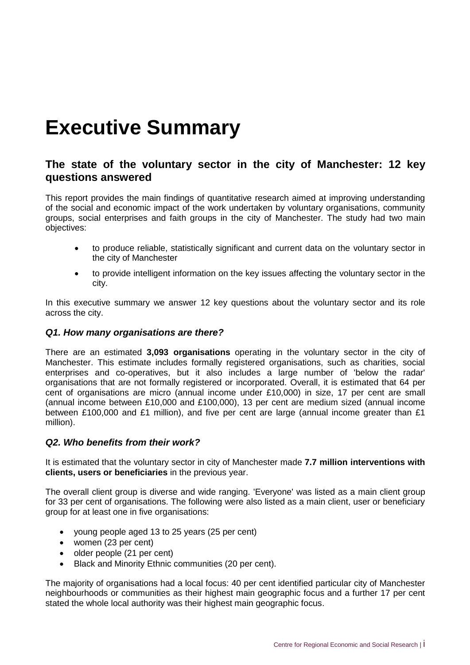# <span id="page-6-0"></span>**Executive Summary**

#### **The state of the voluntary sector in the city of Manchester: 12 key questions answered**

This report provides the main findings of quantitative research aimed at improving understanding of the social and economic impact of the work undertaken by voluntary organisations, community groups, social enterprises and faith groups in the city of Manchester. The study had two main objectives:

- to produce reliable, statistically significant and current data on the voluntary sector in the city of Manchester
- to provide intelligent information on the key issues affecting the voluntary sector in the city.

In this executive summary we answer 12 key questions about the voluntary sector and its role across the city.

#### *Q1. How many organisations are there?*

There are an estimated **3,093 organisations** operating in the voluntary sector in the city of Manchester. This estimate includes formally registered organisations, such as charities, social enterprises and co-operatives, but it also includes a large number of 'below the radar' organisations that are not formally registered or incorporated. Overall, it is estimated that 64 per cent of organisations are micro (annual income under £10,000) in size, 17 per cent are small (annual income between £10,000 and £100,000), 13 per cent are medium sized (annual income between £100,000 and £1 million), and five per cent are large (annual income greater than £1 million).

#### *Q2. Who benefits from their work?*

It is estimated that the voluntary sector in city of Manchester made **7.7 million interventions with clients, users or beneficiaries** in the previous year.

The overall client group is diverse and wide ranging. 'Everyone' was listed as a main client group for 33 per cent of organisations. The following were also listed as a main client, user or beneficiary group for at least one in five organisations:

- young people aged 13 to 25 years (25 per cent)
- women (23 per cent)
- older people (21 per cent)
- Black and Minority Ethnic communities (20 per cent).

The majority of organisations had a local focus: 40 per cent identified particular city of Manchester neighbourhoods or communities as their highest main geographic focus and a further 17 per cent stated the whole local authority was their highest main geographic focus.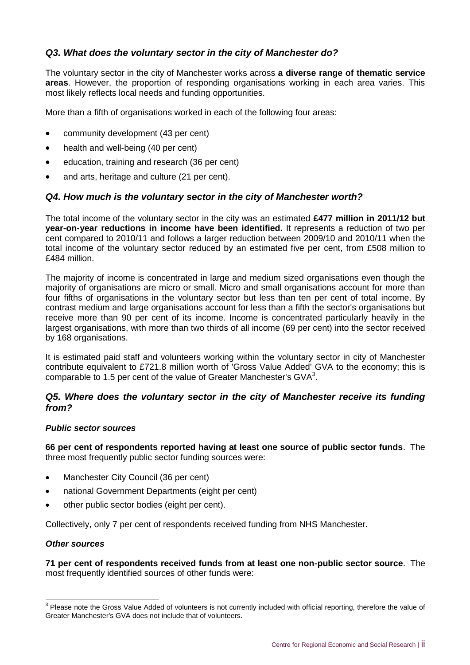#### *Q3. What does the voluntary sector in the city of Manchester do?*

The voluntary sector in the city of Manchester works across **a diverse range of thematic service areas**. However, the proportion of responding organisations working in each area varies. This most likely reflects local needs and funding opportunities.

More than a fifth of organisations worked in each of the following four areas:

- community development (43 per cent)
- health and well-being (40 per cent)
- education, training and research (36 per cent)
- and arts, heritage and culture (21 per cent).

#### *Q4. How much is the voluntary sector in the city of Manchester worth?*

The total income of the voluntary sector in the city was an estimated **£477 million in 2011/12 but year-on-year reductions in income have been identified.** It represents a reduction of two per cent compared to 2010/11 and follows a larger reduction between 2009/10 and 2010/11 when the total income of the voluntary sector reduced by an estimated five per cent, from £508 million to £484 million.

The majority of income is concentrated in large and medium sized organisations even though the majority of organisations are micro or small. Micro and small organisations account for more than four fifths of organisations in the voluntary sector but less than ten per cent of total income. By contrast medium and large organisations account for less than a fifth the sector's organisations but receive more than 90 per cent of its income. Income is concentrated particularly heavily in the largest organisations, with more than two thirds of all income (69 per cent) into the sector received by 168 organisations.

It is estimated paid staff and volunteers working within the voluntary sector in city of Manchester contribute equivalent to £721.8 million worth of 'Gross Value Added' GVA to the economy; this is comparable to 1.5 per cent of the value of Greater Manchester's GVA $3$ .

#### *Q5. Where does the voluntary sector in the city of Manchester receive its funding from?*

#### *Public sector sources*

**66 per cent of respondents reported having at least one source of public sector funds**. The three most frequently public sector funding sources were:

- Manchester City Council (36 per cent)
- national Government Departments (eight per cent)
- other public sector bodies (eight per cent).

Collectively, only 7 per cent of respondents received funding from NHS Manchester.

#### *Other sources*

**71 per cent of respondents received funds from at least one non-public sector source**. The most frequently identified sources of other funds were:

 3 Please note the Gross Value Added of volunteers is not currently included with official reporting, therefore the value of Greater Manchester's GVA does not include that of volunteers.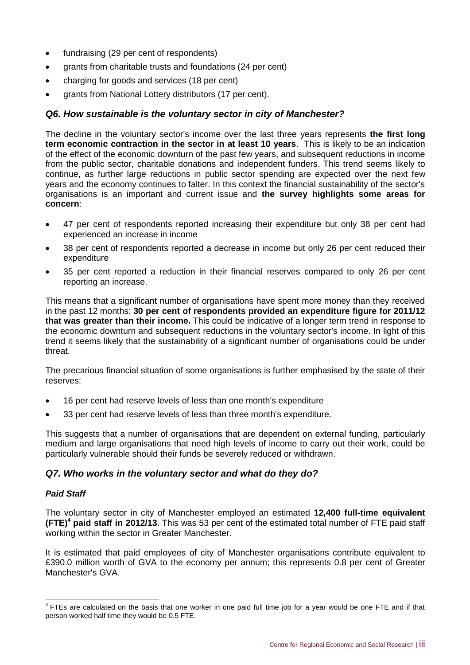- fundraising (29 per cent of respondents)
- grants from charitable trusts and foundations (24 per cent)
- charging for goods and services (18 per cent)
- arants from National Lottery distributors (17 per cent).

#### *Q6. How sustainable is the voluntary sector in city of Manchester?*

The decline in the voluntary sector's income over the last three years represents **the first long term economic contraction in the sector in at least 10 years**. This is likely to be an indication of the effect of the economic downturn of the past few years, and subsequent reductions in income from the public sector, charitable donations and independent funders. This trend seems likely to continue, as further large reductions in public sector spending are expected over the next few years and the economy continues to falter. In this context the financial sustainability of the sector's organisations is an important and current issue and **the survey highlights some areas for concern**:

- 47 per cent of respondents reported increasing their expenditure but only 38 per cent had experienced an increase in income
- 38 per cent of respondents reported a decrease in income but only 26 per cent reduced their expenditure
- 35 per cent reported a reduction in their financial reserves compared to only 26 per cent reporting an increase.

This means that a significant number of organisations have spent more money than they received in the past 12 months: **30 per cent of respondents provided an expenditure figure for 2011/12 that was greater than their income.** This could be indicative of a longer term trend in response to the economic downturn and subsequent reductions in the voluntary sector's income. In light of this trend it seems likely that the sustainability of a significant number of organisations could be under threat.

The precarious financial situation of some organisations is further emphasised by the state of their reserves:

- 16 per cent had reserve levels of less than one month's expenditure
- 33 per cent had reserve levels of less than three month's expenditure.

This suggests that a number of organisations that are dependent on external funding, particularly medium and large organisations that need high levels of income to carry out their work, could be particularly vulnerable should their funds be severely reduced or withdrawn.

#### *Q7. Who works in the voluntary sector and what do they do?*

#### *Paid Staff*

The voluntary sector in city of Manchester employed an estimated **12,400 full-time equivalent (FTE)<sup>4</sup> paid staff in 2012/13**. This was 53 per cent of the estimated total number of FTE paid staff working within the sector in Greater Manchester.

It is estimated that paid employees of city of Manchester organisations contribute equivalent to £390.0 million worth of GVA to the economy per annum; this represents 0.8 per cent of Greater Manchester's GVA.

THES are calculated on the basis that one worker in one paid full time job for a year would be one FTE and if that person worked half time they would be 0.5 FTE.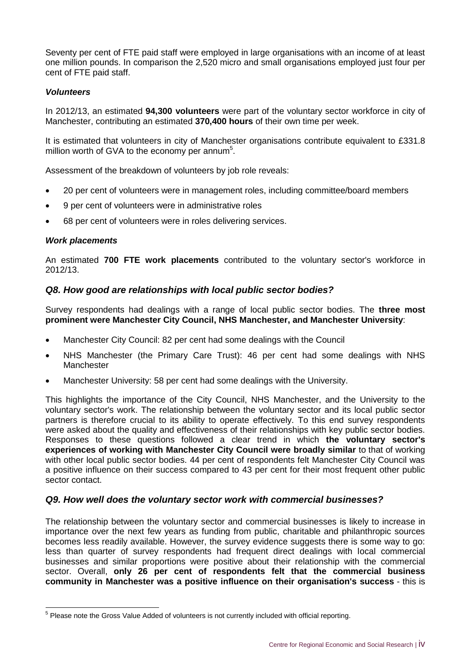Seventy per cent of FTE paid staff were employed in large organisations with an income of at least one million pounds. In comparison the 2,520 micro and small organisations employed just four per cent of FTE paid staff.

#### *Volunteers*

In 2012/13, an estimated **94,300 volunteers** were part of the voluntary sector workforce in city of Manchester, contributing an estimated **370,400 hours** of their own time per week.

It is estimated that volunteers in city of Manchester organisations contribute equivalent to £331.8 million worth of GVA to the economy per annum<sup>5</sup>.

Assessment of the breakdown of volunteers by job role reveals:

- 20 per cent of volunteers were in management roles, including committee/board members
- 9 per cent of volunteers were in administrative roles
- 68 per cent of volunteers were in roles delivering services.

#### *Work placements*

An estimated **700 FTE work placements** contributed to the voluntary sector's workforce in 2012/13.

#### *Q8. How good are relationships with local public sector bodies?*

Survey respondents had dealings with a range of local public sector bodies. The **three most prominent were Manchester City Council, NHS Manchester, and Manchester University**:

- Manchester City Council: 82 per cent had some dealings with the Council
- NHS Manchester (the Primary Care Trust): 46 per cent had some dealings with NHS Manchester
- Manchester University: 58 per cent had some dealings with the University.

This highlights the importance of the City Council, NHS Manchester, and the University to the voluntary sector's work. The relationship between the voluntary sector and its local public sector partners is therefore crucial to its ability to operate effectively. To this end survey respondents were asked about the quality and effectiveness of their relationships with key public sector bodies. Responses to these questions followed a clear trend in which **the voluntary sector's experiences of working with Manchester City Council were broadly similar** to that of working with other local public sector bodies. 44 per cent of respondents felt Manchester City Council was a positive influence on their success compared to 43 per cent for their most frequent other public sector contact.

#### *Q9. How well does the voluntary sector work with commercial businesses?*

The relationship between the voluntary sector and commercial businesses is likely to increase in importance over the next few years as funding from public, charitable and philanthropic sources becomes less readily available. However, the survey evidence suggests there is some way to go: less than quarter of survey respondents had frequent direct dealings with local commercial businesses and similar proportions were positive about their relationship with the commercial sector. Overall, **only 26 per cent of respondents felt that the commercial business community in Manchester was a positive influence on their organisation's success** - this is

<sup>&</sup>lt;u>—</u><br><sup>5</sup> Please note the Gross Value Added of volunteers is not currently included with official reporting.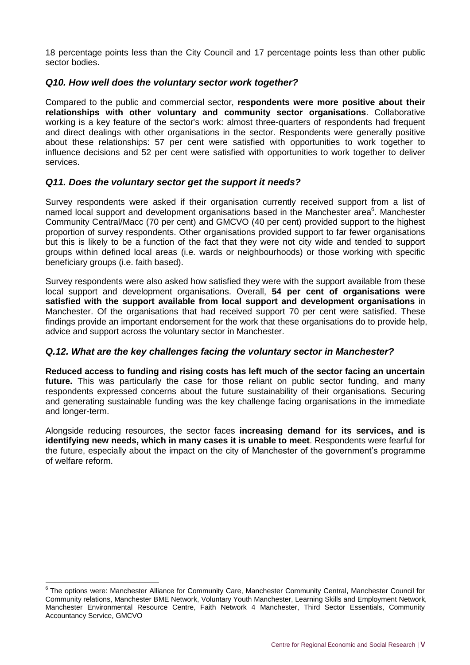18 percentage points less than the City Council and 17 percentage points less than other public sector bodies.

#### *Q10. How well does the voluntary sector work together?*

Compared to the public and commercial sector, **respondents were more positive about their relationships with other voluntary and community sector organisations**. Collaborative working is a key feature of the sector's work: almost three-quarters of respondents had frequent and direct dealings with other organisations in the sector. Respondents were generally positive about these relationships: 57 per cent were satisfied with opportunities to work together to influence decisions and 52 per cent were satisfied with opportunities to work together to deliver services.

#### *Q11. Does the voluntary sector get the support it needs?*

Survey respondents were asked if their organisation currently received support from a list of named local support and development organisations based in the Manchester area<sup>6</sup>. Manchester Community Central/Macc (70 per cent) and GMCVO (40 per cent) provided support to the highest proportion of survey respondents. Other organisations provided support to far fewer organisations but this is likely to be a function of the fact that they were not city wide and tended to support groups within defined local areas (i.e. wards or neighbourhoods) or those working with specific beneficiary groups (i.e. faith based).

Survey respondents were also asked how satisfied they were with the support available from these local support and development organisations. Overall, **54 per cent of organisations were satisfied with the support available from local support and development organisations** in Manchester. Of the organisations that had received support 70 per cent were satisfied. These findings provide an important endorsement for the work that these organisations do to provide help, advice and support across the voluntary sector in Manchester.

#### *Q.12. What are the key challenges facing the voluntary sector in Manchester?*

**Reduced access to funding and rising costs has left much of the sector facing an uncertain**  future. This was particularly the case for those reliant on public sector funding, and many respondents expressed concerns about the future sustainability of their organisations. Securing and generating sustainable funding was the key challenge facing organisations in the immediate and longer-term.

Alongside reducing resources, the sector faces **increasing demand for its services, and is identifying new needs, which in many cases it is unable to meet**. Respondents were fearful for the future, especially about the impact on the city of Manchester of the government's programme of welfare reform.

 6 The options were: Manchester Alliance for Community Care, Manchester Community Central, Manchester Council for Community relations, Manchester BME Network, Voluntary Youth Manchester, Learning Skills and Employment Network, Manchester Environmental Resource Centre, Faith Network 4 Manchester, Third Sector Essentials, Community Accountancy Service, GMCVO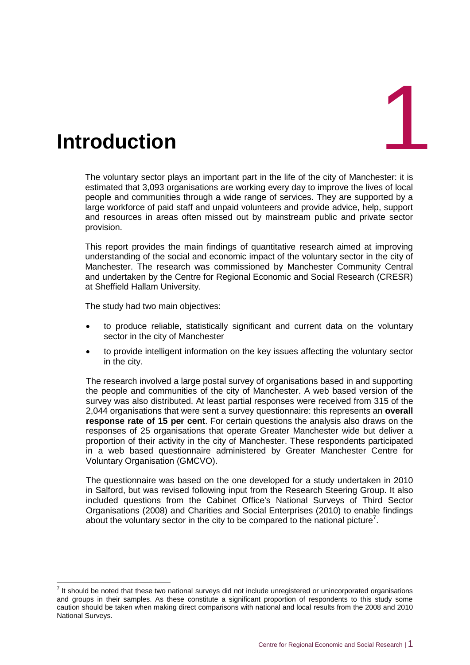<span id="page-11-0"></span>

The voluntary sector plays an important part in the life of the city of Manchester: it is estimated that 3,093 organisations are working every day to improve the lives of local people and communities through a wide range of services. They are supported by a large workforce of paid staff and unpaid volunteers and provide advice, help, support and resources in areas often missed out by mainstream public and private sector provision.

This report provides the main findings of quantitative research aimed at improving understanding of the social and economic impact of the voluntary sector in the city of Manchester. The research was commissioned by Manchester Community Central and undertaken by the Centre for Regional Economic and Social Research (CRESR) at Sheffield Hallam University.

The study had two main objectives:

- to produce reliable, statistically significant and current data on the voluntary sector in the city of Manchester
- to provide intelligent information on the key issues affecting the voluntary sector in the city.

The research involved a large postal survey of organisations based in and supporting the people and communities of the city of Manchester. A web based version of the survey was also distributed. At least partial responses were received from 315 of the 2,044 organisations that were sent a survey questionnaire: this represents an **overall response rate of 15 per cent**. For certain questions the analysis also draws on the responses of 25 organisations that operate Greater Manchester wide but deliver a proportion of their activity in the city of Manchester. These respondents participated in a web based questionnaire administered by Greater Manchester Centre for Voluntary Organisation (GMCVO).

The questionnaire was based on the one developed for a study undertaken in 2010 in Salford, but was revised following input from the Research Steering Group. It also included questions from the Cabinet Office's National Surveys of Third Sector Organisations (2008) and Charities and Social Enterprises (2010) to enable findings about the voluntary sector in the city to be compared to the national picture<sup>7</sup>.

 7 It should be noted that these two national surveys did not include unregistered or unincorporated organisations and groups in their samples. As these constitute a significant proportion of respondents to this study some caution should be taken when making direct comparisons with national and local results from the 2008 and 2010 National Surveys.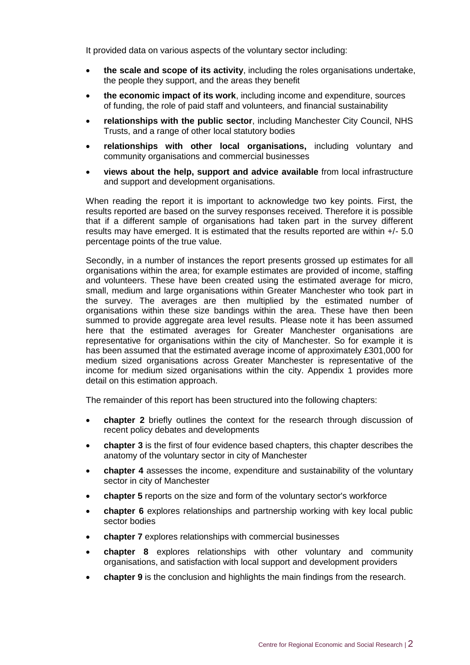It provided data on various aspects of the voluntary sector including:

- **the scale and scope of its activity**, including the roles organisations undertake, the people they support, and the areas they benefit
- **the economic impact of its work**, including income and expenditure, sources of funding, the role of paid staff and volunteers, and financial sustainability
- **relationships with the public sector**, including Manchester City Council, NHS Trusts, and a range of other local statutory bodies
- **relationships with other local organisations,** including voluntary and community organisations and commercial businesses
- **views about the help, support and advice available** from local infrastructure and support and development organisations.

When reading the report it is important to acknowledge two key points. First, the results reported are based on the survey responses received. Therefore it is possible that if a different sample of organisations had taken part in the survey different results may have emerged. It is estimated that the results reported are within +/- 5.0 percentage points of the true value.

Secondly, in a number of instances the report presents grossed up estimates for all organisations within the area; for example estimates are provided of income, staffing and volunteers. These have been created using the estimated average for micro, small, medium and large organisations within Greater Manchester who took part in the survey. The averages are then multiplied by the estimated number of organisations within these size bandings within the area. These have then been summed to provide aggregate area level results. Please note it has been assumed here that the estimated averages for Greater Manchester organisations are representative for organisations within the city of Manchester. So for example it is has been assumed that the estimated average income of approximately £301,000 for medium sized organisations across Greater Manchester is representative of the income for medium sized organisations within the city. Appendix 1 provides more detail on this estimation approach.

The remainder of this report has been structured into the following chapters:

- **chapter 2** briefly outlines the context for the research through discussion of recent policy debates and developments
- **chapter 3** is the first of four evidence based chapters, this chapter describes the anatomy of the voluntary sector in city of Manchester
- **chapter 4** assesses the income, expenditure and sustainability of the voluntary sector in city of Manchester
- **chapter 5** reports on the size and form of the voluntary sector's workforce
- **chapter 6** explores relationships and partnership working with key local public sector bodies
- **chapter 7** explores relationships with commercial businesses
- **chapter 8** explores relationships with other voluntary and community organisations, and satisfaction with local support and development providers
- **chapter 9** is the conclusion and highlights the main findings from the research.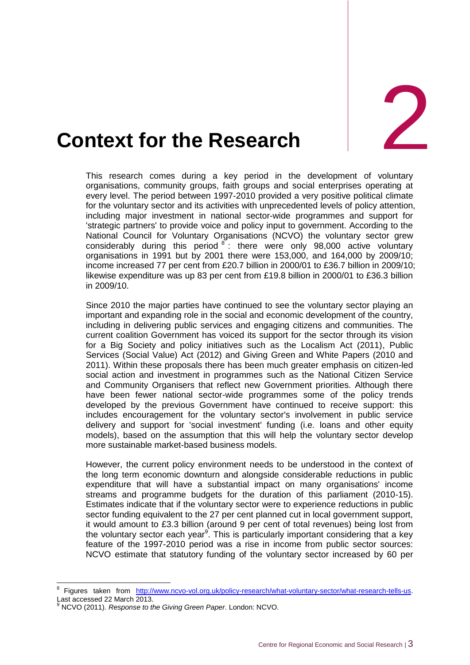

# <span id="page-13-0"></span>**2. Context for the Research**

This research comes during a key period in the development of voluntary organisations, community groups, faith groups and social enterprises operating at every level. The period between 1997-2010 provided a very positive political climate for the voluntary sector and its activities with unprecedented levels of policy attention, including major investment in national sector-wide programmes and support for 'strategic partners' to provide voice and policy input to government. According to the National Council for Voluntary Organisations (NCVO) the voluntary sector grew considerably during this period  $8$ : there were only 98,000 active voluntary organisations in 1991 but by 2001 there were 153,000, and 164,000 by 2009/10; income increased 77 per cent from £20.7 billion in 2000/01 to £36.7 billion in 2009/10; likewise expenditure was up 83 per cent from £19.8 billion in 2000/01 to £36.3 billion in 2009/10.

Since 2010 the major parties have continued to see the voluntary sector playing an important and expanding role in the social and economic development of the country, including in delivering public services and engaging citizens and communities. The current coalition Government has voiced its support for the sector through its vision for a Big Society and policy initiatives such as the Localism Act (2011), Public Services (Social Value) Act (2012) and Giving Green and White Papers (2010 and 2011). Within these proposals there has been much greater emphasis on citizen-led social action and investment in programmes such as the National Citizen Service and Community Organisers that reflect new Government priorities. Although there have been fewer national sector-wide programmes some of the policy trends developed by the previous Government have continued to receive support: this includes encouragement for the voluntary sector's involvement in public service delivery and support for 'social investment' funding (i.e. loans and other equity models), based on the assumption that this will help the voluntary sector develop more sustainable market-based business models.

However, the current policy environment needs to be understood in the context of the long term economic downturn and alongside considerable reductions in public expenditure that will have a substantial impact on many organisations' income streams and programme budgets for the duration of this parliament (2010-15). Estimates indicate that if the voluntary sector were to experience reductions in public sector funding equivalent to the 27 per cent planned cut in local government support, it would amount to £3.3 billion (around 9 per cent of total revenues) being lost from the voluntary sector each year<sup>9</sup>. This is particularly important considering that a key feature of the 1997-2010 period was a rise in income from public sector sources: NCVO estimate that statutory funding of the voluntary sector increased by 60 per

 $\overline{a}$ 

<sup>8</sup> Figures taken from [http://www.ncvo-vol.org.uk/policy-research/what-voluntary-sector/what-research-tells-us.](http://www.ncvo-vol.org.uk/policy-research/what-voluntary-sector/what-research-tells-us) Last accessed 22 March 2013.

<sup>9</sup> NCVO (2011). *Response to the Giving Green Paper*. London: NCVO.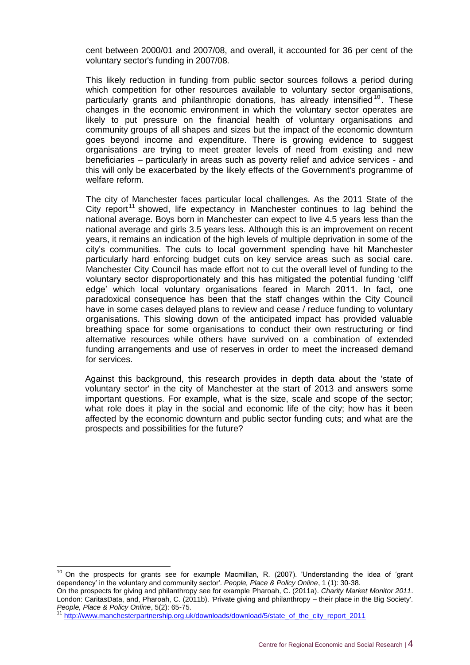cent between 2000/01 and 2007/08, and overall, it accounted for 36 per cent of the voluntary sector's funding in 2007/08.

This likely reduction in funding from public sector sources follows a period during which competition for other resources available to voluntary sector organisations, particularly grants and philanthropic donations, has already intensified  $10$ . These changes in the economic environment in which the voluntary sector operates are likely to put pressure on the financial health of voluntary organisations and community groups of all shapes and sizes but the impact of the economic downturn goes beyond income and expenditure. There is growing evidence to suggest organisations are trying to meet greater levels of need from existing and new beneficiaries – particularly in areas such as poverty relief and advice services - and this will only be exacerbated by the likely effects of the Government's programme of welfare reform.

The city of Manchester faces particular local challenges. As the 2011 State of the City report<sup>11</sup> showed, life expectancy in Manchester continues to lag behind the national average. Boys born in Manchester can expect to live 4.5 years less than the national average and girls 3.5 years less. Although this is an improvement on recent years, it remains an indication of the high levels of multiple deprivation in some of the city's communities. The cuts to local government spending have hit Manchester particularly hard enforcing budget cuts on key service areas such as social care. Manchester City Council has made effort not to cut the overall level of funding to the voluntary sector disproportionately and this has mitigated the potential funding 'cliff edge' which local voluntary organisations feared in March 2011. In fact, one paradoxical consequence has been that the staff changes within the City Council have in some cases delayed plans to review and cease / reduce funding to voluntary organisations. This slowing down of the anticipated impact has provided valuable breathing space for some organisations to conduct their own restructuring or find alternative resources while others have survived on a combination of extended funding arrangements and use of reserves in order to meet the increased demand for services.

Against this background, this research provides in depth data about the 'state of voluntary sector' in the city of Manchester at the start of 2013 and answers some important questions. For example, what is the size, scale and scope of the sector; what role does it play in the social and economic life of the city; how has it been affected by the economic downturn and public sector funding cuts; and what are the prospects and possibilities for the future?

-

 $10$  On the prospects for grants see for example Macmillan, R. (2007). 'Understanding the idea of 'grant dependency' in the voluntary and community sector'. *People, Place & Policy Online*, 1 (1): 30-38.

On the prospects for giving and philanthropy see for example Pharoah, C. (2011a). *Charity Market Monitor 2011*. London: CaritasData, and, Pharoah, C. (2011b). 'Private giving and philanthropy – their place in the Big Society'. *People, Place & Policy Online*, 5(2): 65-75.

<sup>11</sup> [http://www.manchesterpartnership.org.uk/downloads/download/5/state\\_of\\_the\\_city\\_report\\_2011](http://www.manchesterpartnership.org.uk/downloads/download/5/state_of_the_city_report_2011)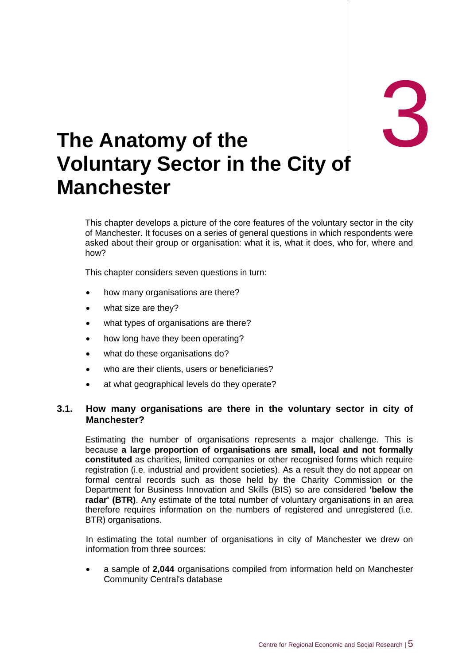# 3

# <span id="page-15-0"></span>3. **The Anatomy of the Voluntary Sector in the City of Manchester**

This chapter develops a picture of the core features of the voluntary sector in the city of Manchester. It focuses on a series of general questions in which respondents were asked about their group or organisation: what it is, what it does, who for, where and how?

This chapter considers seven questions in turn:

- how many organisations are there?
- what size are they?
- what types of organisations are there?
- how long have they been operating?
- what do these organisations do?
- who are their clients, users or beneficiaries?
- at what geographical levels do they operate?

#### **3.1. How many organisations are there in the voluntary sector in city of Manchester?**

Estimating the number of organisations represents a major challenge. This is because **a large proportion of organisations are small, local and not formally constituted** as charities, limited companies or other recognised forms which require registration (i.e. industrial and provident societies). As a result they do not appear on formal central records such as those held by the Charity Commission or the Department for Business Innovation and Skills (BIS) so are considered **'below the radar' (BTR)**. Any estimate of the total number of voluntary organisations in an area therefore requires information on the numbers of registered and unregistered (i.e. BTR) organisations.

In estimating the total number of organisations in city of Manchester we drew on information from three sources:

 a sample of **2,044** organisations compiled from information held on Manchester Community Central's database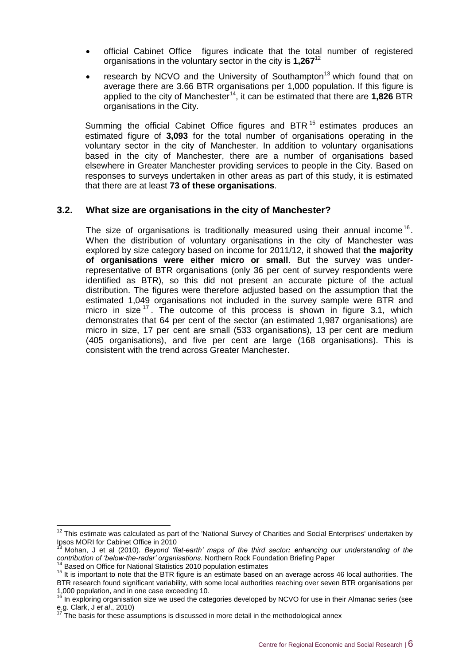- official Cabinet Office figures indicate that the total number of registered organisations in the voluntary sector in the city is **1,267**<sup>12</sup>
- research by NCVO and the University of Southampton<sup>13</sup> which found that on average there are 3.66 BTR organisations per 1,000 population. If this figure is applied to the city of Manchester<sup>14</sup>, it can be estimated that there are **1,826** BTR organisations in the City.

Summing the official Cabinet Office figures and BTR<sup>15</sup> estimates produces an estimated figure of **3,093** for the total number of organisations operating in the voluntary sector in the city of Manchester. In addition to voluntary organisations based in the city of Manchester, there are a number of organisations based elsewhere in Greater Manchester providing services to people in the City. Based on responses to surveys undertaken in other areas as part of this study, it is estimated that there are at least **73 of these organisations**.

#### **3.2. What size are organisations in the city of Manchester?**

The size of organisations is traditionally measured using their annual income<sup>16</sup>. When the distribution of voluntary organisations in the city of Manchester was explored by size category based on income for 2011/12, it showed that **the majority of organisations were either micro or small**. But the survey was underrepresentative of BTR organisations (only 36 per cent of survey respondents were identified as BTR), so this did not present an accurate picture of the actual distribution. The figures were therefore adjusted based on the assumption that the estimated 1,049 organisations not included in the survey sample were BTR and micro in size  $17$ . The outcome of this process is shown in figure 3.1, which demonstrates that 64 per cent of the sector (an estimated 1,987 organisations) are micro in size, 17 per cent are small (533 organisations), 13 per cent are medium (405 organisations), and five per cent are large (168 organisations). This is consistent with the trend across Greater Manchester.

 $\overline{a}$ 

 $12$  This estimate was calculated as part of the 'National Survey of Charities and Social Enterprises' undertaken by Ipsos MORI for Cabinet Office in 2010

<sup>13</sup> Mohan, J et al (2010). *Beyond 'flat-earth' maps of the third sector: enhancing our understanding of the contribution of 'below-the-radar' organisations*. Northern Rock Foundation Briefing Paper

<sup>&</sup>lt;sup>14</sup> Based on Office for National Statistics 2010 population estimates

<sup>15</sup> It is important to note that the BTR figure is an estimate based on an average across 46 local authorities. The

BTR research found significant variability, with some local authorities reaching over seven BTR organisations per 1,000 population, and in one case exceeding 10.

<sup>&</sup>lt;sup>16</sup> In exploring organisation size we used the categories developed by NCVO for use in their Almanac series (see e.g. Clark, J *et al*., 2010)

The basis for these assumptions is discussed in more detail in the methodological annex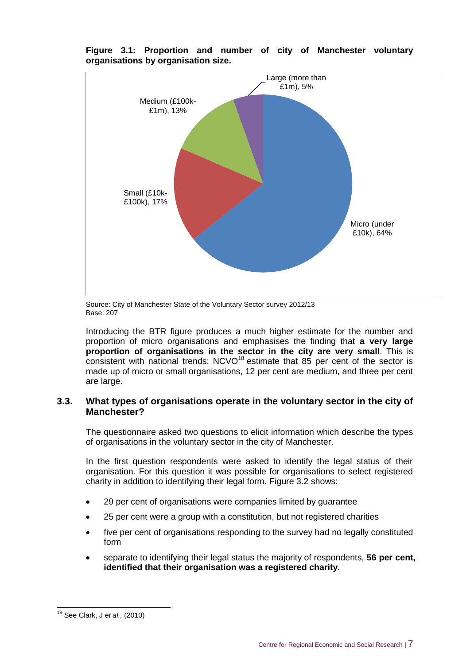

**Figure 3.1: Proportion and number of city of Manchester voluntary organisations by organisation size.**

Source: City of Manchester State of the Voluntary Sector survey 2012/13 Base: 207

Introducing the BTR figure produces a much higher estimate for the number and proportion of micro organisations and emphasises the finding that **a very large proportion of organisations in the sector in the city are very small**. This is consistent with national trends: NCVO<sup>18</sup> estimate that 85 per cent of the sector is made up of micro or small organisations, 12 per cent are medium, and three per cent are large.

#### **3.3. What types of organisations operate in the voluntary sector in the city of Manchester?**

The questionnaire asked two questions to elicit information which describe the types of organisations in the voluntary sector in the city of Manchester.

In the first question respondents were asked to identify the legal status of their organisation. For this question it was possible for organisations to select registered charity in addition to identifying their legal form. Figure 3.2 shows:

- 29 per cent of organisations were companies limited by guarantee
- 25 per cent were a group with a constitution, but not registered charities
- five per cent of organisations responding to the survey had no legally constituted form
- separate to identifying their legal status the majority of respondents, **56 per cent, identified that their organisation was a registered charity.**

 $\overline{1}$ 

<sup>18</sup> See Clark, J *et al.,* (2010)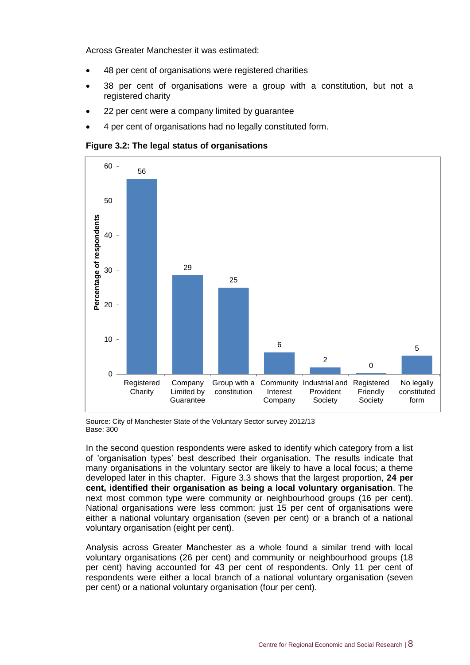Across Greater Manchester it was estimated:

- 48 per cent of organisations were registered charities
- 38 per cent of organisations were a group with a constitution, but not a registered charity
- 22 per cent were a company limited by guarantee
- 4 per cent of organisations had no legally constituted form.

**Figure 3.2: The legal status of organisations**



Source: City of Manchester State of the Voluntary Sector survey 2012/13 Base: 300

In the second question respondents were asked to identify which category from a list of 'organisation types' best described their organisation. The results indicate that many organisations in the voluntary sector are likely to have a local focus; a theme developed later in this chapter. Figure 3.3 shows that the largest proportion, **24 per cent, identified their organisation as being a local voluntary organisation**. The next most common type were community or neighbourhood groups (16 per cent). National organisations were less common: just 15 per cent of organisations were either a national voluntary organisation (seven per cent) or a branch of a national voluntary organisation (eight per cent).

Analysis across Greater Manchester as a whole found a similar trend with local voluntary organisations (26 per cent) and community or neighbourhood groups (18 per cent) having accounted for 43 per cent of respondents. Only 11 per cent of respondents were either a local branch of a national voluntary organisation (seven per cent) or a national voluntary organisation (four per cent).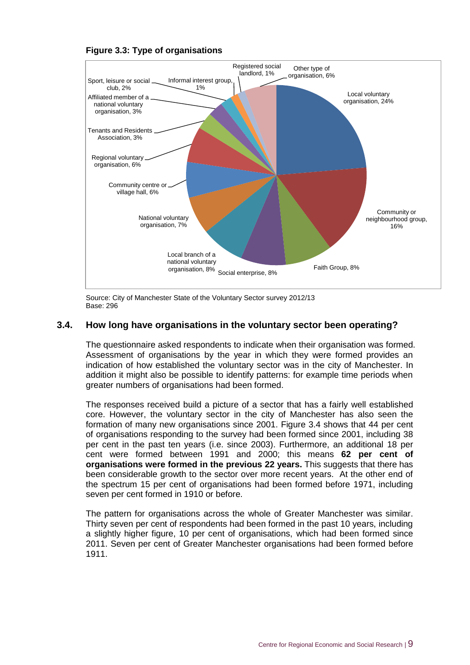



Source: City of Manchester State of the Voluntary Sector survey 2012/13 Base: 296

#### **3.4. How long have organisations in the voluntary sector been operating?**

The questionnaire asked respondents to indicate when their organisation was formed. Assessment of organisations by the year in which they were formed provides an indication of how established the voluntary sector was in the city of Manchester. In addition it might also be possible to identify patterns: for example time periods when greater numbers of organisations had been formed.

The responses received build a picture of a sector that has a fairly well established core. However, the voluntary sector in the city of Manchester has also seen the formation of many new organisations since 2001. Figure 3.4 shows that 44 per cent of organisations responding to the survey had been formed since 2001, including 38 per cent in the past ten years (i.e. since 2003). Furthermore, an additional 18 per cent were formed between 1991 and 2000; this means **62 per cent of organisations were formed in the previous 22 years.** This suggests that there has been considerable growth to the sector over more recent years. At the other end of the spectrum 15 per cent of organisations had been formed before 1971, including seven per cent formed in 1910 or before.

The pattern for organisations across the whole of Greater Manchester was similar. Thirty seven per cent of respondents had been formed in the past 10 years, including a slightly higher figure, 10 per cent of organisations, which had been formed since 2011. Seven per cent of Greater Manchester organisations had been formed before 1911.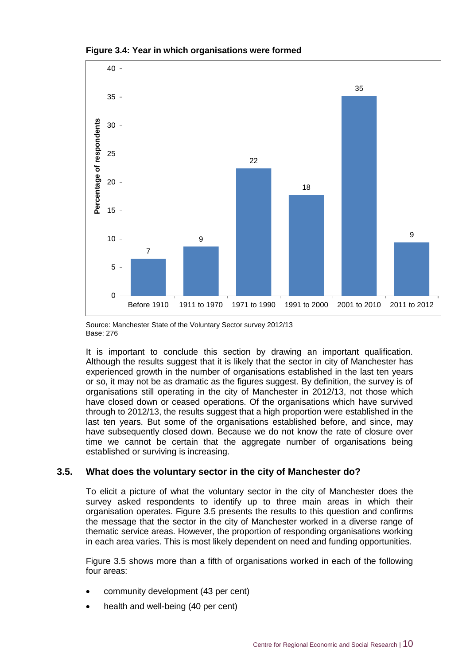



Source: Manchester State of the Voluntary Sector survey 2012/13 Base: 276

It is important to conclude this section by drawing an important qualification. Although the results suggest that it is likely that the sector in city of Manchester has experienced growth in the number of organisations established in the last ten years or so, it may not be as dramatic as the figures suggest. By definition, the survey is of organisations still operating in the city of Manchester in 2012/13, not those which have closed down or ceased operations. Of the organisations which have survived through to 2012/13, the results suggest that a high proportion were established in the last ten years. But some of the organisations established before, and since, may have subsequently closed down. Because we do not know the rate of closure over time we cannot be certain that the aggregate number of organisations being established or surviving is increasing.

#### **3.5. What does the voluntary sector in the city of Manchester do?**

To elicit a picture of what the voluntary sector in the city of Manchester does the survey asked respondents to identify up to three main areas in which their organisation operates. Figure 3.5 presents the results to this question and confirms the message that the sector in the city of Manchester worked in a diverse range of thematic service areas. However, the proportion of responding organisations working in each area varies. This is most likely dependent on need and funding opportunities.

Figure 3.5 shows more than a fifth of organisations worked in each of the following four areas:

- community development (43 per cent)
- health and well-being (40 per cent)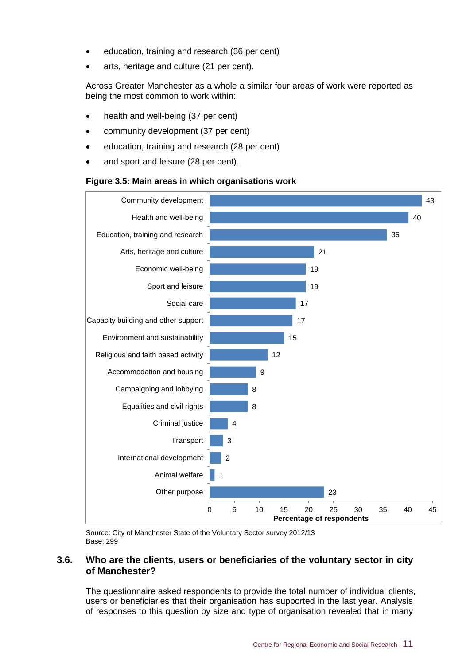- education, training and research (36 per cent)
- arts, heritage and culture (21 per cent).

Across Greater Manchester as a whole a similar four areas of work were reported as being the most common to work within:

- health and well-being (37 per cent)
- community development (37 per cent)
- education, training and research (28 per cent)
- and sport and leisure (28 per cent).

#### **Figure 3.5: Main areas in which organisations work**



Source: City of Manchester State of the Voluntary Sector survey 2012/13 Base: 299

#### **3.6. Who are the clients, users or beneficiaries of the voluntary sector in city of Manchester?**

The questionnaire asked respondents to provide the total number of individual clients, users or beneficiaries that their organisation has supported in the last year. Analysis of responses to this question by size and type of organisation revealed that in many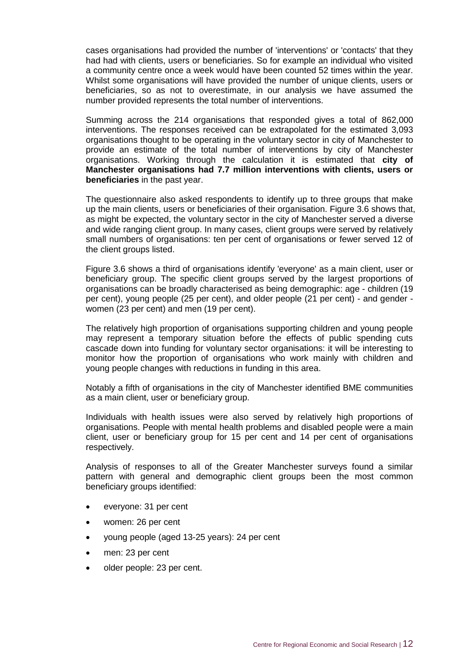cases organisations had provided the number of 'interventions' or 'contacts' that they had had with clients, users or beneficiaries. So for example an individual who visited a community centre once a week would have been counted 52 times within the year. Whilst some organisations will have provided the number of unique clients, users or beneficiaries, so as not to overestimate, in our analysis we have assumed the number provided represents the total number of interventions.

Summing across the 214 organisations that responded gives a total of 862,000 interventions. The responses received can be extrapolated for the estimated 3,093 organisations thought to be operating in the voluntary sector in city of Manchester to provide an estimate of the total number of interventions by city of Manchester organisations. Working through the calculation it is estimated that **city of Manchester organisations had 7.7 million interventions with clients, users or beneficiaries** in the past year.

The questionnaire also asked respondents to identify up to three groups that make up the main clients, users or beneficiaries of their organisation. Figure 3.6 shows that, as might be expected, the voluntary sector in the city of Manchester served a diverse and wide ranging client group. In many cases, client groups were served by relatively small numbers of organisations: ten per cent of organisations or fewer served 12 of the client groups listed.

Figure 3.6 shows a third of organisations identify 'everyone' as a main client, user or beneficiary group. The specific client groups served by the largest proportions of organisations can be broadly characterised as being demographic: age - children (19 per cent), young people (25 per cent), and older people (21 per cent) - and gender women (23 per cent) and men (19 per cent).

The relatively high proportion of organisations supporting children and young people may represent a temporary situation before the effects of public spending cuts cascade down into funding for voluntary sector organisations: it will be interesting to monitor how the proportion of organisations who work mainly with children and young people changes with reductions in funding in this area.

Notably a fifth of organisations in the city of Manchester identified BME communities as a main client, user or beneficiary group.

Individuals with health issues were also served by relatively high proportions of organisations. People with mental health problems and disabled people were a main client, user or beneficiary group for 15 per cent and 14 per cent of organisations respectively.

Analysis of responses to all of the Greater Manchester surveys found a similar pattern with general and demographic client groups been the most common beneficiary groups identified:

- everyone: 31 per cent
- women: 26 per cent
- young people (aged 13-25 years): 24 per cent
- men: 23 per cent
- older people: 23 per cent.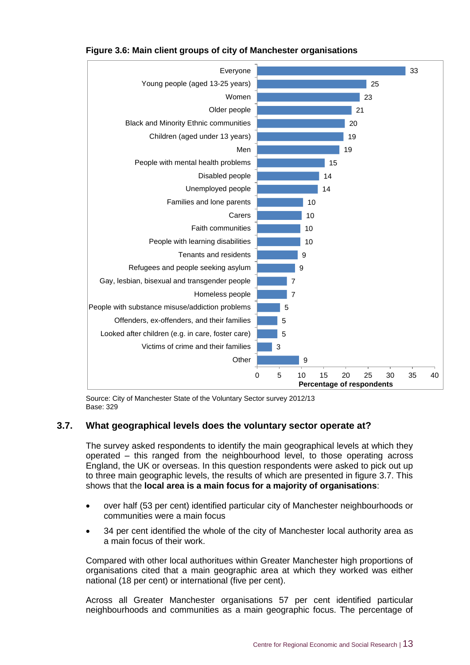

#### **Figure 3.6: Main client groups of city of Manchester organisations**

Source: City of Manchester State of the Voluntary Sector survey 2012/13 Base: 329

#### **3.7. What geographical levels does the voluntary sector operate at?**

The survey asked respondents to identify the main geographical levels at which they operated – this ranged from the neighbourhood level, to those operating across England, the UK or overseas. In this question respondents were asked to pick out up to three main geographic levels, the results of which are presented in figure 3.7. This shows that the **local area is a main focus for a majority of organisations**:

- over half (53 per cent) identified particular city of Manchester neighbourhoods or communities were a main focus
- 34 per cent identified the whole of the city of Manchester local authority area as a main focus of their work.

Compared with other local authoritues within Greater Manchester high proportions of organisations cited that a main geographic area at which they worked was either national (18 per cent) or international (five per cent).

Across all Greater Manchester organisations 57 per cent identified particular neighbourhoods and communities as a main geographic focus. The percentage of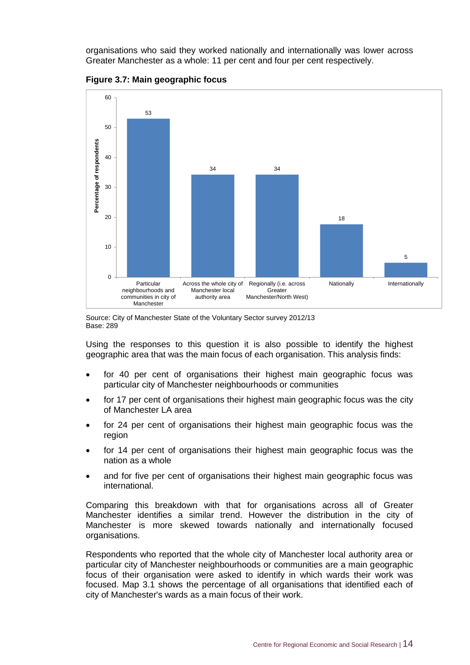organisations who said they worked nationally and internationally was lower across Greater Manchester as a whole: 11 per cent and four per cent respectively.



**Figure 3.7: Main geographic focus**



Using the responses to this question it is also possible to identify the highest geographic area that was the main focus of each organisation. This analysis finds:

- for 40 per cent of organisations their highest main geographic focus was particular city of Manchester neighbourhoods or communities
- for 17 per cent of organisations their highest main geographic focus was the city of Manchester LA area
- for 24 per cent of organisations their highest main geographic focus was the region
- for 14 per cent of organisations their highest main geographic focus was the nation as a whole
- and for five per cent of organisations their highest main geographic focus was international.

Comparing this breakdown with that for organisations across all of Greater Manchester identifies a similar trend. However the distribution in the city of Manchester is more skewed towards nationally and internationally focused organisations.

Respondents who reported that the whole city of Manchester local authority area or particular city of Manchester neighbourhoods or communities are a main geographic focus of their organisation were asked to identify in which wards their work was focused. Map 3.1 shows the percentage of all organisations that identified each of city of Manchester's wards as a main focus of their work.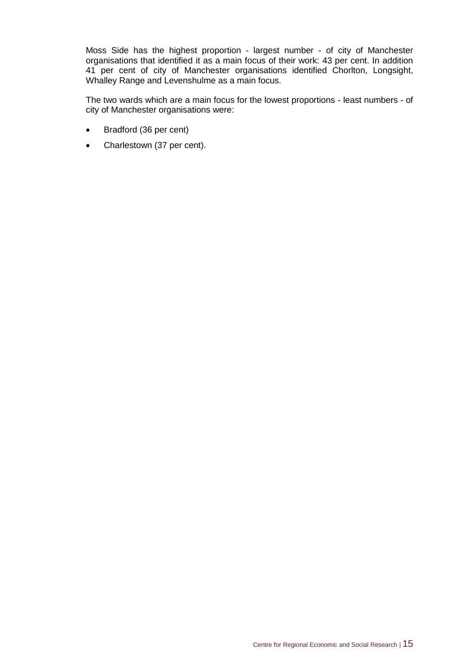Moss Side has the highest proportion - largest number - of city of Manchester organisations that identified it as a main focus of their work: 43 per cent. In addition 41 per cent of city of Manchester organisations identified Chorlton, Longsight, Whalley Range and Levenshulme as a main focus.

The two wards which are a main focus for the lowest proportions - least numbers - of city of Manchester organisations were:

- Bradford (36 per cent)
- Charlestown (37 per cent).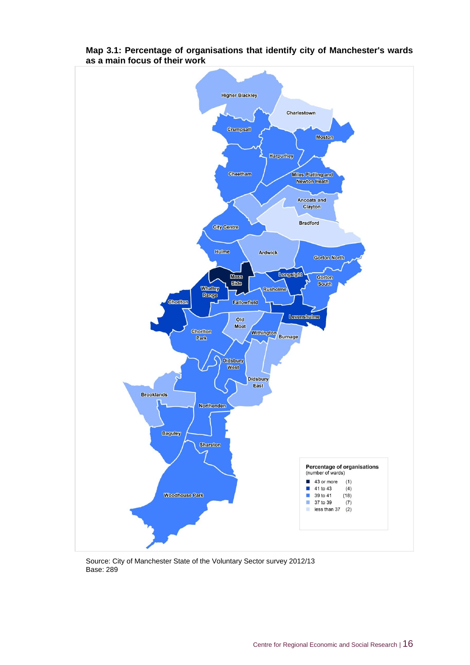

#### **Map 3.1: Percentage of organisations that identify city of Manchester's wards as a main focus of their work**

Source: City of Manchester State of the Voluntary Sector survey 2012/13 Base: 289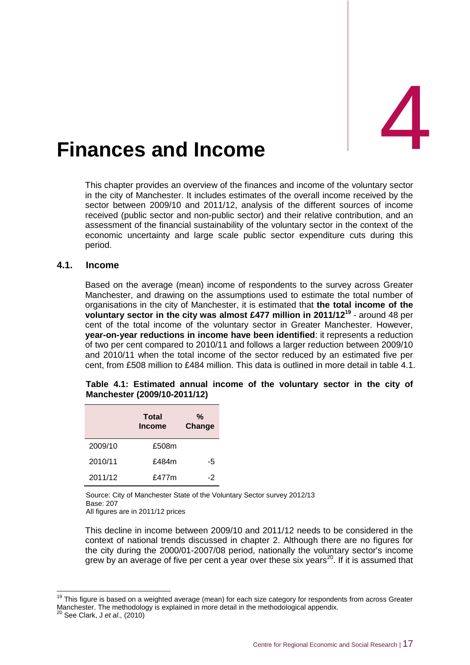<span id="page-27-0"></span>

This chapter provides an overview of the finances and income of the voluntary sector in the city of Manchester. It includes estimates of the overall income received by the sector between 2009/10 and 2011/12, analysis of the different sources of income received (public sector and non-public sector) and their relative contribution, and an assessment of the financial sustainability of the voluntary sector in the context of the economic uncertainty and large scale public sector expenditure cuts during this period.

#### **4.1. Income**

Based on the average (mean) income of respondents to the survey across Greater Manchester, and drawing on the assumptions used to estimate the total number of organisations in the city of Manchester, it is estimated that **the total income of the voluntary sector in the city was almost £477 million in 2011/12<sup>19</sup>** - around 48 per cent of the total income of the voluntary sector in Greater Manchester. However, **year-on-year reductions in income have been identified**: it represents a reduction of two per cent compared to 2010/11 and follows a larger reduction between 2009/10 and 2010/11 when the total income of the sector reduced by an estimated five per cent, from £508 million to £484 million. This data is outlined in more detail in table 4.1.

|  | Table 4.1: Estimated annual income of the voluntary sector in the city of |  |  |  |  |  |
|--|---------------------------------------------------------------------------|--|--|--|--|--|
|  | Manchester (2009/10-2011/12)                                              |  |  |  |  |  |

|         | Total<br><b>Income</b> | %<br>Change |
|---------|------------------------|-------------|
| 2009/10 | £508m                  |             |
| 2010/11 | £484m                  | -5          |
| 2011/12 | £477m                  | -2          |

Source: City of Manchester State of the Voluntary Sector survey 2012/13 Base: 207

All figures are in 2011/12 prices

This decline in income between 2009/10 and 2011/12 needs to be considered in the context of national trends discussed in chapter 2. Although there are no figures for the city during the 2000/01-2007/08 period, nationally the voluntary sector's income grew by an average of five per cent a year over these six years<sup>20</sup>. If it is assumed that

-

<sup>&</sup>lt;sup>19</sup> This figure is based on a weighted average (mean) for each size category for respondents from across Greater Manchester. The methodology is explained in more detail in the methodological appendix.

<sup>20</sup> See Clark, J *et al.,* (2010)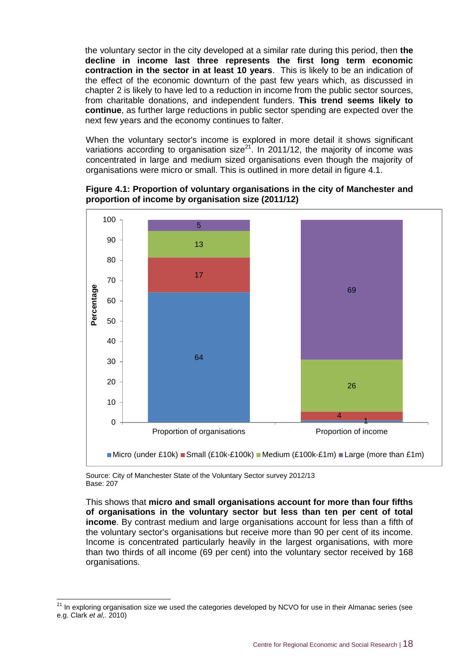the voluntary sector in the city developed at a similar rate during this period, then **the decline in income last three represents the first long term economic contraction in the sector in at least 10 years**. This is likely to be an indication of the effect of the economic downturn of the past few years which, as discussed in chapter 2 is likely to have led to a reduction in income from the public sector sources, from charitable donations, and independent funders. **This trend seems likely to continue**, as further large reductions in public sector spending are expected over the next few years and the economy continues to falter.

When the voluntary sector's income is explored in more detail it shows significant variations according to organisation size<sup>21</sup>. In 2011/12, the majority of income was concentrated in large and medium sized organisations even though the majority of organisations were micro or small. This is outlined in more detail in figure 4.1.





Source: City of Manchester State of the Voluntary Sector survey 2012/13 Base: 207

-

This shows that **micro and small organisations account for more than four fifths of organisations in the voluntary sector but less than ten per cent of total income**. By contrast medium and large organisations account for less than a fifth of the voluntary sector's organisations but receive more than 90 per cent of its income. Income is concentrated particularly heavily in the largest organisations, with more than two thirds of all income (69 per cent) into the voluntary sector received by 168 organisations.

 $21$  In exploring organisation size we used the categories developed by NCVO for use in their Almanac series (see e.g. Clark *et al*,. 2010)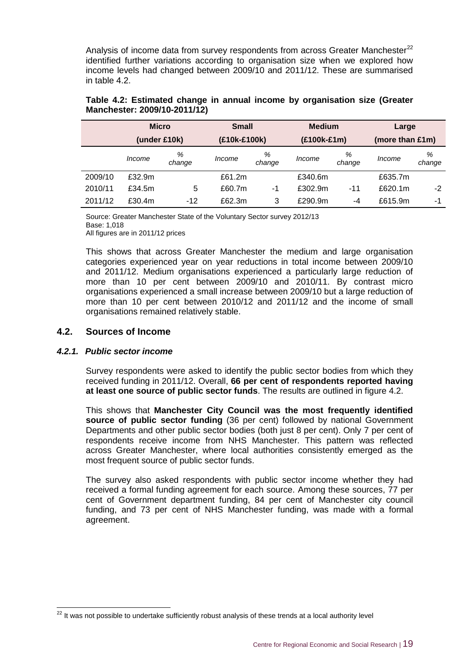Analysis of income data from survey respondents from across Greater Manchester<sup>22</sup> identified further variations according to organisation size when we explored how income levels had changed between 2009/10 and 2011/12. These are summarised in table 4.2.

|         | <b>Micro</b> |             | <b>Small</b> |             | <b>Medium</b> |             | Large           |             |  |
|---------|--------------|-------------|--------------|-------------|---------------|-------------|-----------------|-------------|--|
|         | (under £10k) |             | (£10k-£100k) |             | $(E100k-E1m)$ |             | (more than £1m) |             |  |
|         | Income       | %<br>change | Income       | %<br>change | Income        | %<br>change | Income          | %<br>change |  |
| 2009/10 | £32.9m       |             | £61.2m       |             | £340.6m       |             | £635.7m         |             |  |
| 2010/11 | £34.5m       | 5           | £60.7m       | -1          | £302.9m       | $-11$       | £620.1m         | $-2$        |  |
| 2011/12 | £30.4m       | $-12$       | £62.3m       | 3           | £290.9m       | -4          | £615.9m         | -1          |  |

| Table 4.2: Estimated change in annual income by organisation size (Greater |  |  |
|----------------------------------------------------------------------------|--|--|
| Manchester: 2009/10-2011/12)                                               |  |  |

Source: Greater Manchester State of the Voluntary Sector survey 2012/13 Base: 1,018 All figures are in 2011/12 prices

This shows that across Greater Manchester the medium and large organisation categories experienced year on year reductions in total income between 2009/10 and 2011/12. Medium organisations experienced a particularly large reduction of more than 10 per cent between 2009/10 and 2010/11. By contrast micro organisations experienced a small increase between 2009/10 but a large reduction of more than 10 per cent between 2010/12 and 2011/12 and the income of small organisations remained relatively stable.

#### **4.2. Sources of Income**

#### *4.2.1. Public sector income*

 $\overline{a}$ 

Survey respondents were asked to identify the public sector bodies from which they received funding in 2011/12. Overall, **66 per cent of respondents reported having at least one source of public sector funds**. The results are outlined in figure 4.2.

This shows that **Manchester City Council was the most frequently identified source of public sector funding** (36 per cent) followed by national Government Departments and other public sector bodies (both just 8 per cent). Only 7 per cent of respondents receive income from NHS Manchester. This pattern was reflected across Greater Manchester, where local authorities consistently emerged as the most frequent source of public sector funds.

The survey also asked respondents with public sector income whether they had received a formal funding agreement for each source. Among these sources, 77 per cent of Government department funding, 84 per cent of Manchester city council funding, and 73 per cent of NHS Manchester funding, was made with a formal agreement.

 $22$  It was not possible to undertake sufficiently robust analysis of these trends at a local authority level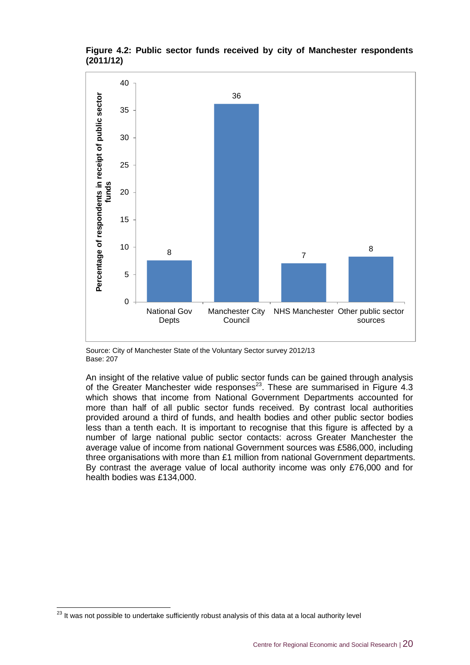

#### **Figure 4.2: Public sector funds received by city of Manchester respondents (2011/12)**

Source: City of Manchester State of the Voluntary Sector survey 2012/13 Base: 207

An insight of the relative value of public sector funds can be gained through analysis of the Greater Manchester wide responses<sup>23</sup>. These are summarised in Figure 4.3 which shows that income from National Government Departments accounted for more than half of all public sector funds received. By contrast local authorities provided around a third of funds, and health bodies and other public sector bodies less than a tenth each. It is important to recognise that this figure is affected by a number of large national public sector contacts: across Greater Manchester the average value of income from national Government sources was £586,000, including three organisations with more than £1 million from national Government departments. By contrast the average value of local authority income was only £76,000 and for health bodies was £134,000.

 $\overline{a}$ 

 $^{23}$  It was not possible to undertake sufficiently robust analysis of this data at a local authority level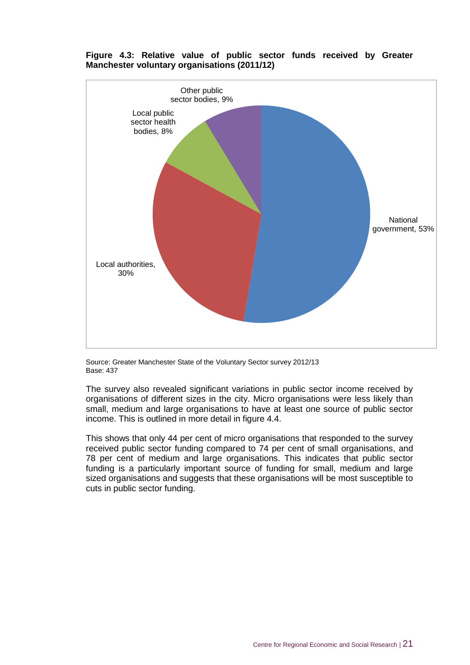

#### **Figure 4.3: Relative value of public sector funds received by Greater Manchester voluntary organisations (2011/12)**

Source: Greater Manchester State of the Voluntary Sector survey 2012/13 Base: 437

The survey also revealed significant variations in public sector income received by organisations of different sizes in the city. Micro organisations were less likely than small, medium and large organisations to have at least one source of public sector income. This is outlined in more detail in figure 4.4.

This shows that only 44 per cent of micro organisations that responded to the survey received public sector funding compared to 74 per cent of small organisations, and 78 per cent of medium and large organisations. This indicates that public sector funding is a particularly important source of funding for small, medium and large sized organisations and suggests that these organisations will be most susceptible to cuts in public sector funding.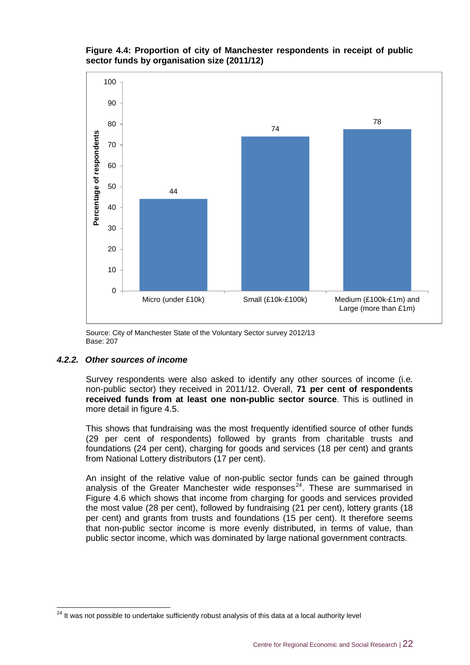**Figure 4.4: Proportion of city of Manchester respondents in receipt of public sector funds by organisation size (2011/12)**



Source: City of Manchester State of the Voluntary Sector survey 2012/13 Base: 207

#### *4.2.2. Other sources of income*

 $\overline{a}$ 

Survey respondents were also asked to identify any other sources of income (i.e. non-public sector) they received in 2011/12. Overall, **71 per cent of respondents received funds from at least one non-public sector source**. This is outlined in more detail in figure 4.5.

This shows that fundraising was the most frequently identified source of other funds (29 per cent of respondents) followed by grants from charitable trusts and foundations (24 per cent), charging for goods and services (18 per cent) and grants from National Lottery distributors (17 per cent).

An insight of the relative value of non-public sector funds can be gained through analysis of the Greater Manchester wide responses $^{24}$ . These are summarised in Figure 4.6 which shows that income from charging for goods and services provided the most value (28 per cent), followed by fundraising (21 per cent), lottery grants (18 per cent) and grants from trusts and foundations (15 per cent). It therefore seems that non-public sector income is more evenly distributed, in terms of value, than public sector income, which was dominated by large national government contracts.

<sup>&</sup>lt;sup>24</sup> It was not possible to undertake sufficiently robust analysis of this data at a local authority level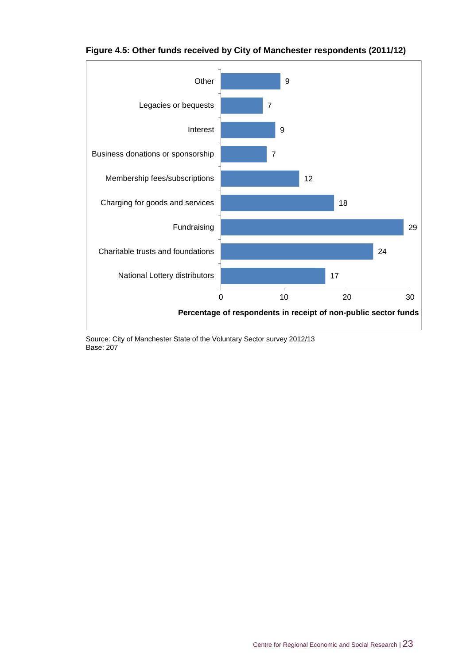

#### **Figure 4.5: Other funds received by City of Manchester respondents (2011/12)**

Source: City of Manchester State of the Voluntary Sector survey 2012/13 Base: 207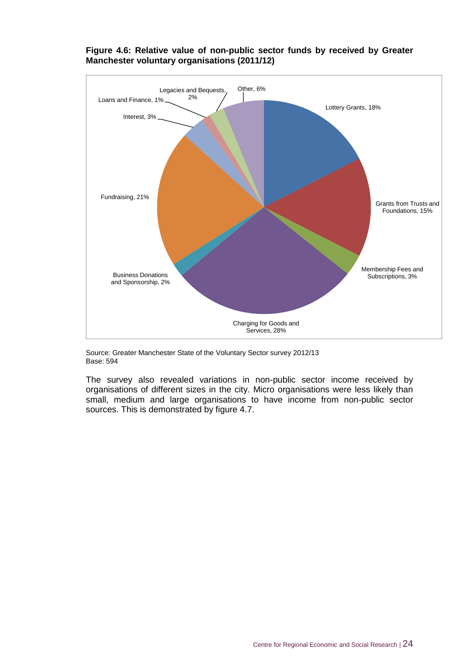

#### **Figure 4.6: Relative value of non-public sector funds by received by Greater Manchester voluntary organisations (2011/12)**

Source: Greater Manchester State of the Voluntary Sector survey 2012/13 Base: 594

The survey also revealed variations in non-public sector income received by organisations of different sizes in the city. Micro organisations were less likely than small, medium and large organisations to have income from non-public sector sources. This is demonstrated by figure 4.7.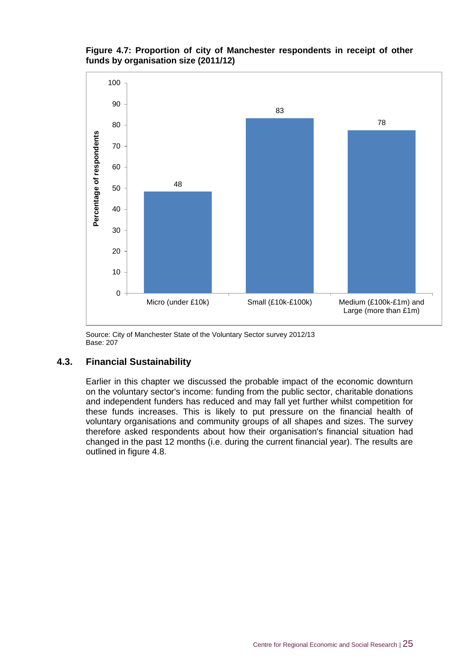#### **Figure 4.7: Proportion of city of Manchester respondents in receipt of other funds by organisation size (2011/12)**



Source: City of Manchester State of the Voluntary Sector survey 2012/13 Base: 207

#### **4.3. Financial Sustainability**

Earlier in this chapter we discussed the probable impact of the economic downturn on the voluntary sector's income: funding from the public sector, charitable donations and independent funders has reduced and may fall yet further whilst competition for these funds increases. This is likely to put pressure on the financial health of voluntary organisations and community groups of all shapes and sizes. The survey therefore asked respondents about how their organisation's financial situation had changed in the past 12 months (i.e. during the current financial year). The results are outlined in figure 4.8.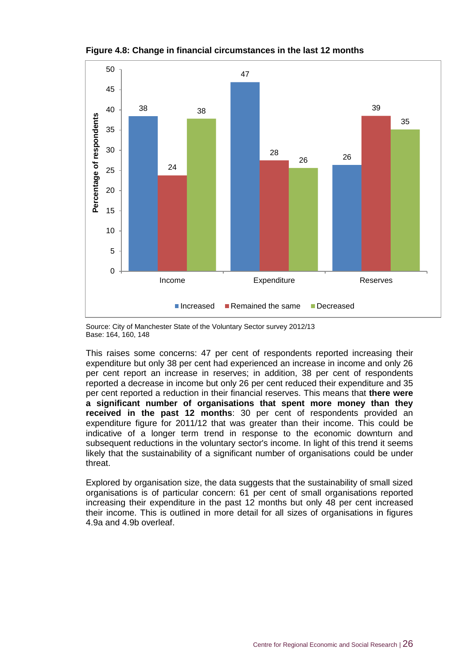

**Figure 4.8: Change in financial circumstances in the last 12 months**

Source: City of Manchester State of the Voluntary Sector survey 2012/13 Base: 164, 160, 148

This raises some concerns: 47 per cent of respondents reported increasing their expenditure but only 38 per cent had experienced an increase in income and only 26 per cent report an increase in reserves; in addition, 38 per cent of respondents reported a decrease in income but only 26 per cent reduced their expenditure and 35 per cent reported a reduction in their financial reserves. This means that **there were a significant number of organisations that spent more money than they received in the past 12 months**: 30 per cent of respondents provided an expenditure figure for 2011/12 that was greater than their income. This could be indicative of a longer term trend in response to the economic downturn and subsequent reductions in the voluntary sector's income. In light of this trend it seems likely that the sustainability of a significant number of organisations could be under threat.

Explored by organisation size, the data suggests that the sustainability of small sized organisations is of particular concern: 61 per cent of small organisations reported increasing their expenditure in the past 12 months but only 48 per cent increased their income. This is outlined in more detail for all sizes of organisations in figures 4.9a and 4.9b overleaf.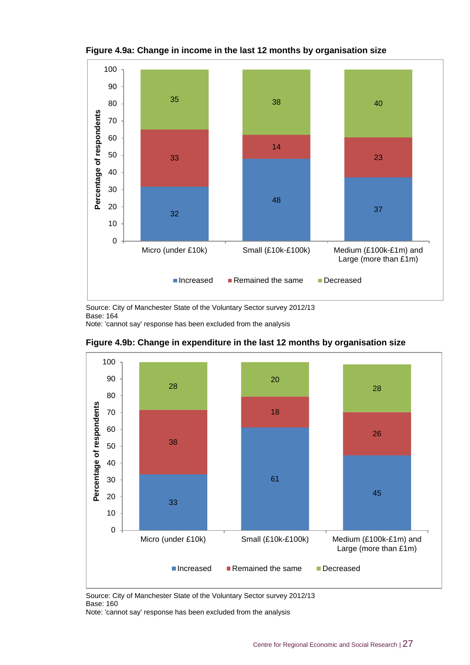

**Figure 4.9a: Change in income in the last 12 months by organisation size**

Source: City of Manchester State of the Voluntary Sector survey 2012/13 Base: 164 Note: 'cannot say' response has been excluded from the analysis



**Figure 4.9b: Change in expenditure in the last 12 months by organisation size**

Source: City of Manchester State of the Voluntary Sector survey 2012/13 Base: 160

Note: 'cannot say' response has been excluded from the analysis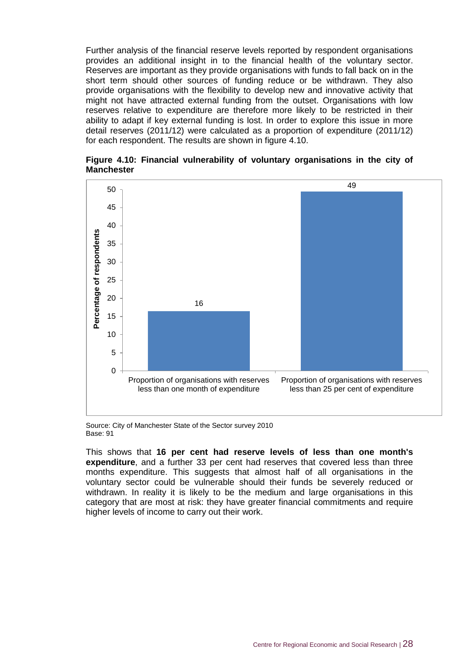Further analysis of the financial reserve levels reported by respondent organisations provides an additional insight in to the financial health of the voluntary sector. Reserves are important as they provide organisations with funds to fall back on in the short term should other sources of funding reduce or be withdrawn. They also provide organisations with the flexibility to develop new and innovative activity that might not have attracted external funding from the outset. Organisations with low reserves relative to expenditure are therefore more likely to be restricted in their ability to adapt if key external funding is lost. In order to explore this issue in more detail reserves (2011/12) were calculated as a proportion of expenditure (2011/12) for each respondent. The results are shown in figure 4.10.





Source: City of Manchester State of the Sector survey 2010 Base: 91

This shows that **16 per cent had reserve levels of less than one month's expenditure**, and a further 33 per cent had reserves that covered less than three months expenditure. This suggests that almost half of all organisations in the voluntary sector could be vulnerable should their funds be severely reduced or withdrawn. In reality it is likely to be the medium and large organisations in this category that are most at risk: they have greater financial commitments and require higher levels of income to carry out their work.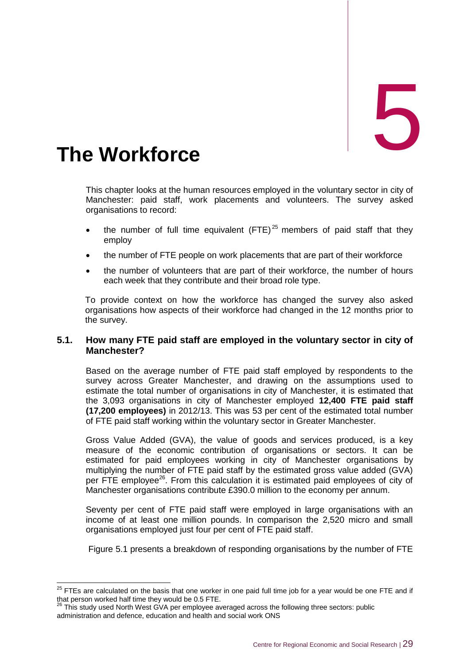<span id="page-39-0"></span>The Workforce

This chapter looks at the human resources employed in the voluntary sector in city of Manchester: paid staff, work placements and volunteers. The survey asked organisations to record:

- the number of full time equivalent  $(FTE)^{25}$  members of paid staff that they employ
- the number of FTE people on work placements that are part of their workforce
- the number of volunteers that are part of their workforce, the number of hours each week that they contribute and their broad role type.

To provide context on how the workforce has changed the survey also asked organisations how aspects of their workforce had changed in the 12 months prior to the survey.

#### **5.1. How many FTE paid staff are employed in the voluntary sector in city of Manchester?**

Based on the average number of FTE paid staff employed by respondents to the survey across Greater Manchester, and drawing on the assumptions used to estimate the total number of organisations in city of Manchester, it is estimated that the 3,093 organisations in city of Manchester employed **12,400 FTE paid staff (17,200 employees)** in 2012/13. This was 53 per cent of the estimated total number of FTE paid staff working within the voluntary sector in Greater Manchester.

Gross Value Added (GVA), the value of goods and services produced, is a key measure of the economic contribution of organisations or sectors. It can be estimated for paid employees working in city of Manchester organisations by multiplying the number of FTE paid staff by the estimated gross value added (GVA) per FTE employee<sup>26</sup>. From this calculation it is estimated paid employees of city of Manchester organisations contribute £390.0 million to the economy per annum.

Seventy per cent of FTE paid staff were employed in large organisations with an income of at least one million pounds. In comparison the 2,520 micro and small organisations employed just four per cent of FTE paid staff.

Figure 5.1 presents a breakdown of responding organisations by the number of FTE

 $\overline{a}$  $^{25}$  FTEs are calculated on the basis that one worker in one paid full time job for a year would be one FTE and if that person worked half time they would be 0.5 FTE.

 $26$  This study used North West GVA per employee averaged across the following three sectors: public administration and defence, education and health and social work ONS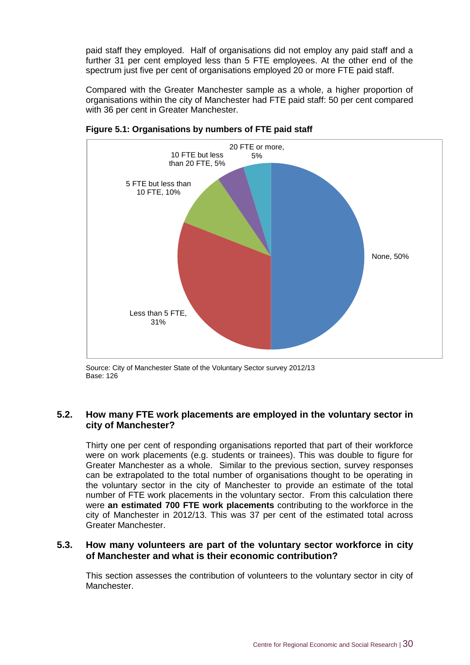paid staff they employed. Half of organisations did not employ any paid staff and a further 31 per cent employed less than 5 FTE employees. At the other end of the spectrum just five per cent of organisations employed 20 or more FTE paid staff.

Compared with the Greater Manchester sample as a whole, a higher proportion of organisations within the city of Manchester had FTE paid staff: 50 per cent compared with 36 per cent in Greater Manchester.



**Figure 5.1: Organisations by numbers of FTE paid staff** 

Source: City of Manchester State of the Voluntary Sector survey 2012/13 Base: 126

#### **5.2. How many FTE work placements are employed in the voluntary sector in city of Manchester?**

Thirty one per cent of responding organisations reported that part of their workforce were on work placements (e.g. students or trainees). This was double to figure for Greater Manchester as a whole. Similar to the previous section, survey responses can be extrapolated to the total number of organisations thought to be operating in the voluntary sector in the city of Manchester to provide an estimate of the total number of FTE work placements in the voluntary sector. From this calculation there were **an estimated 700 FTE work placements** contributing to the workforce in the city of Manchester in 2012/13. This was 37 per cent of the estimated total across Greater Manchester.

#### **5.3. How many volunteers are part of the voluntary sector workforce in city of Manchester and what is their economic contribution?**

This section assesses the contribution of volunteers to the voluntary sector in city of Manchester.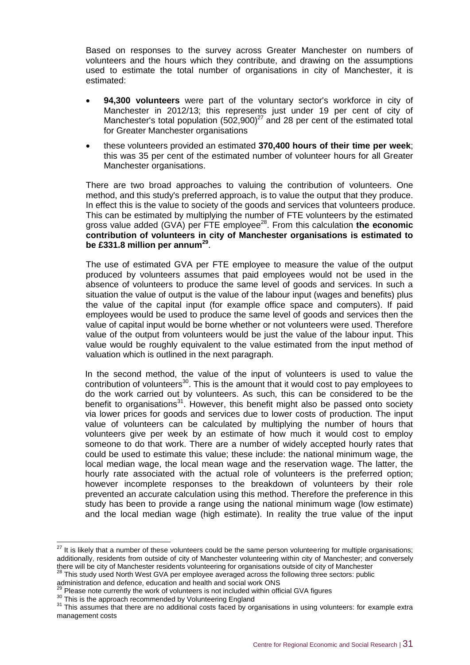Based on responses to the survey across Greater Manchester on numbers of volunteers and the hours which they contribute, and drawing on the assumptions used to estimate the total number of organisations in city of Manchester, it is estimated:

- **94,300 volunteers** were part of the voluntary sector's workforce in city of Manchester in 2012/13; this represents just under 19 per cent of city of Manchester's total population  $(502,900)^{27}$  and 28 per cent of the estimated total for Greater Manchester organisations
- these volunteers provided an estimated **370,400 hours of their time per week**; this was 35 per cent of the estimated number of volunteer hours for all Greater Manchester organisations.

There are two broad approaches to valuing the contribution of volunteers. One method, and this study's preferred approach, is to value the output that they produce. In effect this is the value to society of the goods and services that volunteers produce. This can be estimated by multiplying the number of FTE volunteers by the estimated gross value added (GVA) per FTE employee<sup>28</sup>. From this calculation **the economic contribution of volunteers in city of Manchester organisations is estimated to be £331.8 million per annum<sup>29</sup>** .

The use of estimated GVA per FTE employee to measure the value of the output produced by volunteers assumes that paid employees would not be used in the absence of volunteers to produce the same level of goods and services. In such a situation the value of output is the value of the labour input (wages and benefits) plus the value of the capital input (for example office space and computers). If paid employees would be used to produce the same level of goods and services then the value of capital input would be borne whether or not volunteers were used. Therefore value of the output from volunteers would be just the value of the labour input. This value would be roughly equivalent to the value estimated from the input method of valuation which is outlined in the next paragraph.

In the second method, the value of the input of volunteers is used to value the contribution of volunteers $30$ . This is the amount that it would cost to pay employees to do the work carried out by volunteers. As such, this can be considered to be the benefit to organisations<sup>31</sup>. However, this benefit might also be passed onto society via lower prices for goods and services due to lower costs of production. The input value of volunteers can be calculated by multiplying the number of hours that volunteers give per week by an estimate of how much it would cost to employ someone to do that work. There are a number of widely accepted hourly rates that could be used to estimate this value; these include: the national minimum wage, the local median wage, the local mean wage and the reservation wage. The latter, the hourly rate associated with the actual role of volunteers is the preferred option; however incomplete responses to the breakdown of volunteers by their role prevented an accurate calculation using this method. Therefore the preference in this study has been to provide a range using the national minimum wage (low estimate) and the local median wage (high estimate). In reality the true value of the input

 $\overline{a}$ 

 $27$  It is likely that a number of these volunteers could be the same person volunteering for multiple organisations; additionally, residents from outside of city of Manchester volunteering within city of Manchester; and conversely there will be city of Manchester residents volunteering for organisations outside of city of Manchester

 $28$  This study used North West GVA per employee averaged across the following three sectors: public

administration and defence, education and health and social work ONS  $\beta$  Please note currently the work of volunteers is not included within official GVA figures

<sup>&</sup>lt;sup>30</sup> This is the approach recommended by Volunteering England

<sup>&</sup>lt;sup>31</sup> This assumes that there are no additional costs faced by organisations in using volunteers: for example extra management costs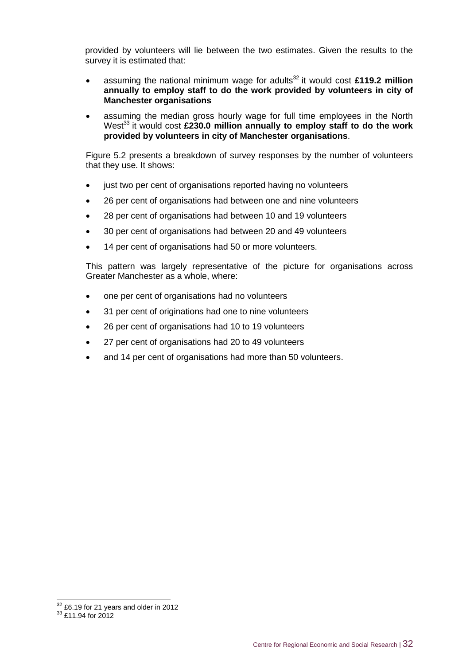provided by volunteers will lie between the two estimates. Given the results to the survey it is estimated that:

- assuming the national minimum wage for adults<sup>32</sup> it would cost £119.2 million **annually to employ staff to do the work provided by volunteers in city of Manchester organisations**
- assuming the median gross hourly wage for full time employees in the North West<sup>33</sup> it would cost £230.0 million annually to employ staff to do the work **provided by volunteers in city of Manchester organisations**.

Figure 5.2 presents a breakdown of survey responses by the number of volunteers that they use. It shows:

- just two per cent of organisations reported having no volunteers
- 26 per cent of organisations had between one and nine volunteers
- 28 per cent of organisations had between 10 and 19 volunteers
- 30 per cent of organisations had between 20 and 49 volunteers
- 14 per cent of organisations had 50 or more volunteers.

This pattern was largely representative of the picture for organisations across Greater Manchester as a whole, where:

- one per cent of organisations had no volunteers
- 31 per cent of originations had one to nine volunteers
- 26 per cent of organisations had 10 to 19 volunteers
- 27 per cent of organisations had 20 to 49 volunteers
- and 14 per cent of organisations had more than 50 volunteers.

-

 $32$  £6.19 for 21 years and older in 2012

 $33$  £11.94 for 2012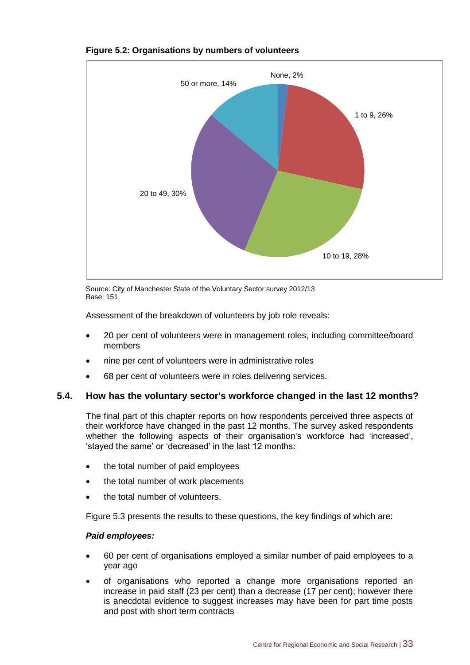

#### **Figure 5.2: Organisations by numbers of volunteers**

Source: City of Manchester State of the Voluntary Sector survey 2012/13 Base: 151

Assessment of the breakdown of volunteers by job role reveals:

- 20 per cent of volunteers were in management roles, including committee/board members
- nine per cent of volunteers were in administrative roles
- 68 per cent of volunteers were in roles delivering services.

#### **5.4. How has the voluntary sector's workforce changed in the last 12 months?**

The final part of this chapter reports on how respondents perceived three aspects of their workforce have changed in the past 12 months. The survey asked respondents whether the following aspects of their organisation's workforce had 'increased', 'stayed the same' or 'decreased' in the last 12 months:

- the total number of paid employees
- the total number of work placements
- the total number of volunteers.

Figure 5.3 presents the results to these questions, the key findings of which are:

#### *Paid employees:*

- 60 per cent of organisations employed a similar number of paid employees to a year ago
- of organisations who reported a change more organisations reported an increase in paid staff (23 per cent) than a decrease (17 per cent); however there is anecdotal evidence to suggest increases may have been for part time posts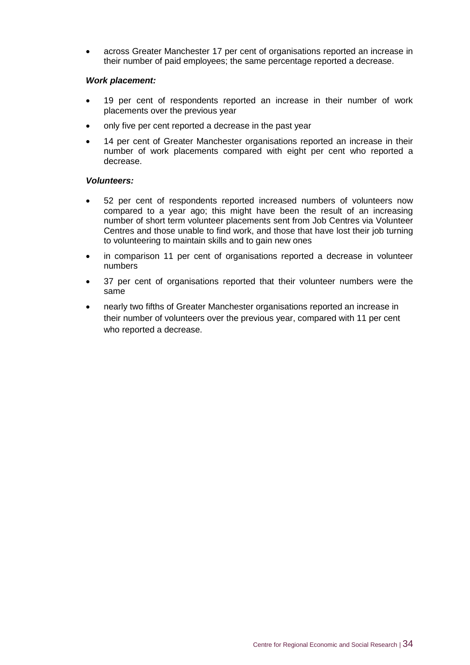across Greater Manchester 17 per cent of organisations reported an increase in their number of paid employees; the same percentage reported a decrease.

#### *Work placement:*

- 19 per cent of respondents reported an increase in their number of work placements over the previous year
- only five per cent reported a decrease in the past year
- 14 per cent of Greater Manchester organisations reported an increase in their number of work placements compared with eight per cent who reported a decrease.

#### *Volunteers:*

- 52 per cent of respondents reported increased numbers of volunteers now compared to a year ago; this might have been the result of an increasing number of short term volunteer placements sent from Job Centres via Volunteer Centres and those unable to find work, and those that have lost their job turning to volunteering to maintain skills and to gain new ones
- in comparison 11 per cent of organisations reported a decrease in volunteer numbers
- 37 per cent of organisations reported that their volunteer numbers were the same
- nearly two fifths of Greater Manchester organisations reported an increase in their number of volunteers over the previous year, compared with 11 per cent who reported a decrease.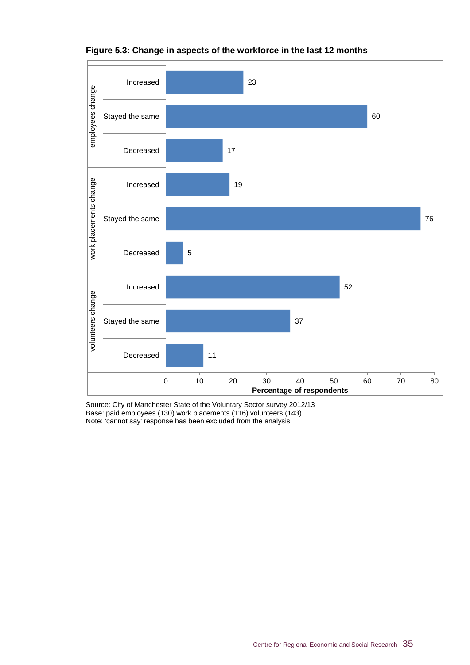

#### **Figure 5.3: Change in aspects of the workforce in the last 12 months**

Source: City of Manchester State of the Voluntary Sector survey 2012/13 Base: paid employees (130) work placements (116) volunteers (143) Note: 'cannot say' response has been excluded from the analysis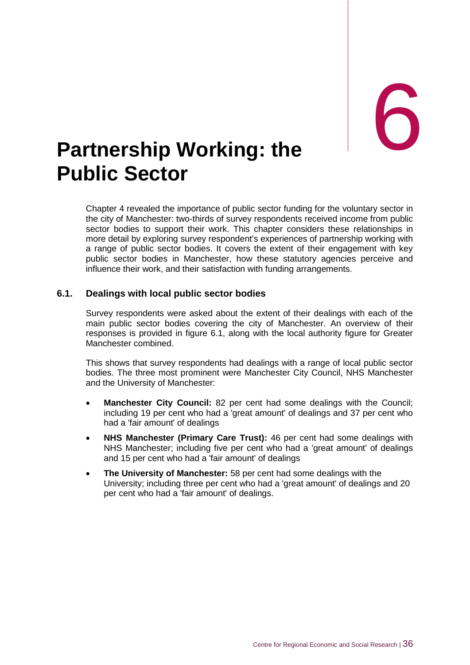# <span id="page-46-0"></span>eral formulation of the <sup>1</sup> **Public Sector**

Chapter 4 revealed the importance of public sector funding for the voluntary sector in the city of Manchester: two-thirds of survey respondents received income from public sector bodies to support their work. This chapter considers these relationships in more detail by exploring survey respondent's experiences of partnership working with a range of public sector bodies. It covers the extent of their engagement with key public sector bodies in Manchester, how these statutory agencies perceive and influence their work, and their satisfaction with funding arrangements.

#### **6.1. Dealings with local public sector bodies**

Survey respondents were asked about the extent of their dealings with each of the main public sector bodies covering the city of Manchester. An overview of their responses is provided in figure 6.1, along with the local authority figure for Greater Manchester combined.

This shows that survey respondents had dealings with a range of local public sector bodies. The three most prominent were Manchester City Council, NHS Manchester and the University of Manchester:

- **Manchester City Council:** 82 per cent had some dealings with the Council; including 19 per cent who had a 'great amount' of dealings and 37 per cent who had a 'fair amount' of dealings
- **NHS Manchester (Primary Care Trust):** 46 per cent had some dealings with NHS Manchester; including five per cent who had a 'great amount' of dealings and 15 per cent who had a 'fair amount' of dealings
- **The University of Manchester:** 58 per cent had some dealings with the University; including three per cent who had a 'great amount' of dealings and 20 per cent who had a 'fair amount' of dealings.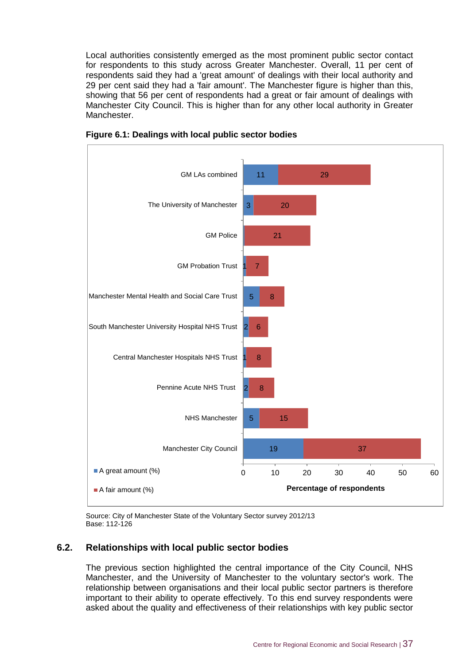Local authorities consistently emerged as the most prominent public sector contact for respondents to this study across Greater Manchester. Overall, 11 per cent of respondents said they had a 'great amount' of dealings with their local authority and 29 per cent said they had a 'fair amount'. The Manchester figure is higher than this, showing that 56 per cent of respondents had a great or fair amount of dealings with Manchester City Council. This is higher than for any other local authority in Greater Manchester.



**Figure 6.1: Dealings with local public sector bodies**

Source: City of Manchester State of the Voluntary Sector survey 2012/13 Base: 112-126

#### **6.2. Relationships with local public sector bodies**

The previous section highlighted the central importance of the City Council, NHS Manchester, and the University of Manchester to the voluntary sector's work. The relationship between organisations and their local public sector partners is therefore important to their ability to operate effectively. To this end survey respondents were asked about the quality and effectiveness of their relationships with key public sector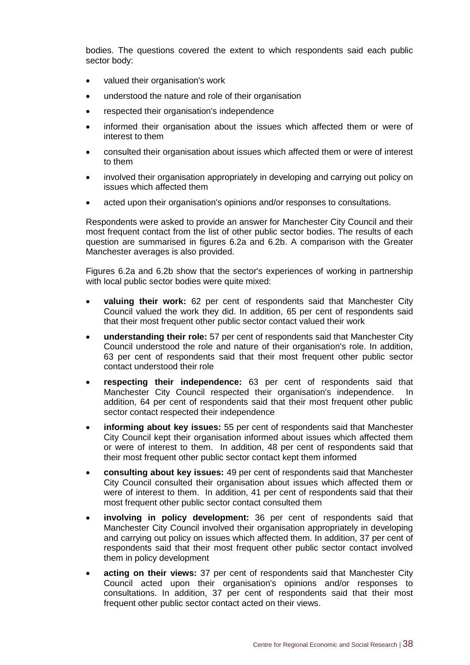bodies. The questions covered the extent to which respondents said each public sector body:

- valued their organisation's work
- understood the nature and role of their organisation
- respected their organisation's independence
- informed their organisation about the issues which affected them or were of interest to them
- consulted their organisation about issues which affected them or were of interest to them
- involved their organisation appropriately in developing and carrying out policy on issues which affected them
- acted upon their organisation's opinions and/or responses to consultations.

Respondents were asked to provide an answer for Manchester City Council and their most frequent contact from the list of other public sector bodies. The results of each question are summarised in figures 6.2a and 6.2b. A comparison with the Greater Manchester averages is also provided.

Figures 6.2a and 6.2b show that the sector's experiences of working in partnership with local public sector bodies were quite mixed:

- **valuing their work:** 62 per cent of respondents said that Manchester City Council valued the work they did. In addition, 65 per cent of respondents said that their most frequent other public sector contact valued their work
- **understanding their role:** 57 per cent of respondents said that Manchester City Council understood the role and nature of their organisation's role. In addition, 63 per cent of respondents said that their most frequent other public sector contact understood their role
- **respecting their independence:** 63 per cent of respondents said that Manchester City Council respected their organisation's independence. In addition, 64 per cent of respondents said that their most frequent other public sector contact respected their independence
- **informing about key issues:** 55 per cent of respondents said that Manchester City Council kept their organisation informed about issues which affected them or were of interest to them. In addition, 48 per cent of respondents said that their most frequent other public sector contact kept them informed
- **consulting about key issues:** 49 per cent of respondents said that Manchester City Council consulted their organisation about issues which affected them or were of interest to them. In addition, 41 per cent of respondents said that their most frequent other public sector contact consulted them
- **involving in policy development:** 36 per cent of respondents said that Manchester City Council involved their organisation appropriately in developing and carrying out policy on issues which affected them. In addition, 37 per cent of respondents said that their most frequent other public sector contact involved them in policy development
- **acting on their views:** 37 per cent of respondents said that Manchester City Council acted upon their organisation's opinions and/or responses to consultations. In addition, 37 per cent of respondents said that their most frequent other public sector contact acted on their views.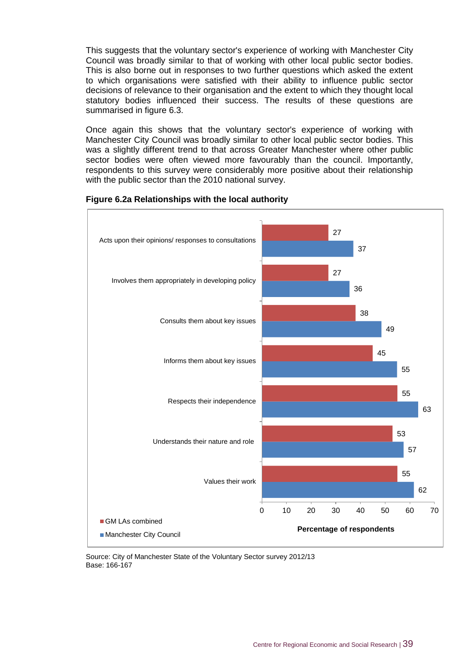This suggests that the voluntary sector's experience of working with Manchester City Council was broadly similar to that of working with other local public sector bodies. This is also borne out in responses to two further questions which asked the extent to which organisations were satisfied with their ability to influence public sector decisions of relevance to their organisation and the extent to which they thought local statutory bodies influenced their success. The results of these questions are summarised in figure 6.3.

Once again this shows that the voluntary sector's experience of working with Manchester City Council was broadly similar to other local public sector bodies. This was a slightly different trend to that across Greater Manchester where other public sector bodies were often viewed more favourably than the council. Importantly, respondents to this survey were considerably more positive about their relationship with the public sector than the 2010 national survey.



#### **Figure 6.2a Relationships with the local authority**

Source: City of Manchester State of the Voluntary Sector survey 2012/13 Base: 166-167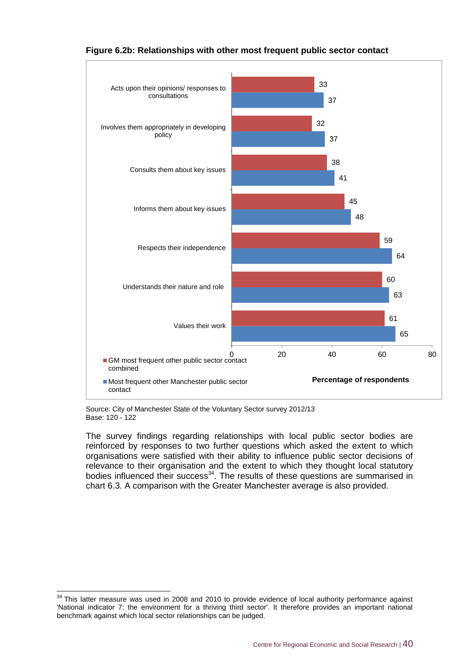

#### **Figure 6.2b: Relationships with other most frequent public sector contact**

Source: City of Manchester State of the Voluntary Sector survey 2012/13 Base: 120 - 122

-

The survey findings regarding relationships with local public sector bodies are reinforced by responses to two further questions which asked the extent to which organisations were satisfied with their ability to influence public sector decisions of relevance to their organisation and the extent to which they thought local statutory bodies influenced their success<sup>34</sup>. The results of these questions are summarised in chart 6.3. A comparison with the Greater Manchester average is also provided.

 $34$  This latter measure was used in 2008 and 2010 to provide evidence of local authority performance against 'National indicator 7: the environment for a thriving third sector'. It therefore provides an important national benchmark against which local sector relationships can be judged.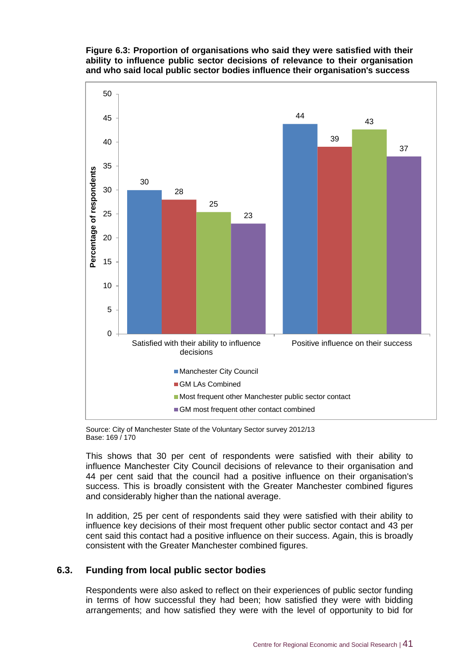#### **Figure 6.3: Proportion of organisations who said they were satisfied with their ability to influence public sector decisions of relevance to their organisation and who said local public sector bodies influence their organisation's success**



Source: City of Manchester State of the Voluntary Sector survey 2012/13 Base: 169 / 170

This shows that 30 per cent of respondents were satisfied with their ability to influence Manchester City Council decisions of relevance to their organisation and 44 per cent said that the council had a positive influence on their organisation's success. This is broadly consistent with the Greater Manchester combined figures and considerably higher than the national average.

In addition, 25 per cent of respondents said they were satisfied with their ability to influence key decisions of their most frequent other public sector contact and 43 per cent said this contact had a positive influence on their success. Again, this is broadly consistent with the Greater Manchester combined figures.

#### **6.3. Funding from local public sector bodies**

Respondents were also asked to reflect on their experiences of public sector funding in terms of how successful they had been; how satisfied they were with bidding arrangements; and how satisfied they were with the level of opportunity to bid for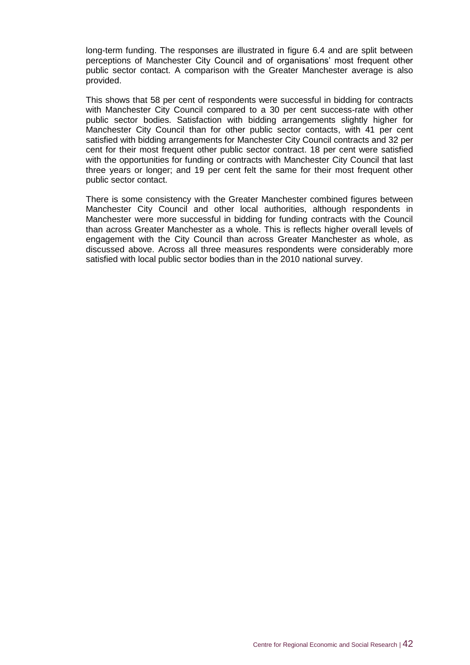long-term funding. The responses are illustrated in figure 6.4 and are split between perceptions of Manchester City Council and of organisations' most frequent other public sector contact. A comparison with the Greater Manchester average is also provided.

This shows that 58 per cent of respondents were successful in bidding for contracts with Manchester City Council compared to a 30 per cent success-rate with other public sector bodies. Satisfaction with bidding arrangements slightly higher for Manchester City Council than for other public sector contacts, with 41 per cent satisfied with bidding arrangements for Manchester City Council contracts and 32 per cent for their most frequent other public sector contract. 18 per cent were satisfied with the opportunities for funding or contracts with Manchester City Council that last three years or longer; and 19 per cent felt the same for their most frequent other public sector contact.

There is some consistency with the Greater Manchester combined figures between Manchester City Council and other local authorities, although respondents in Manchester were more successful in bidding for funding contracts with the Council than across Greater Manchester as a whole. This is reflects higher overall levels of engagement with the City Council than across Greater Manchester as whole, as discussed above. Across all three measures respondents were considerably more satisfied with local public sector bodies than in the 2010 national survey.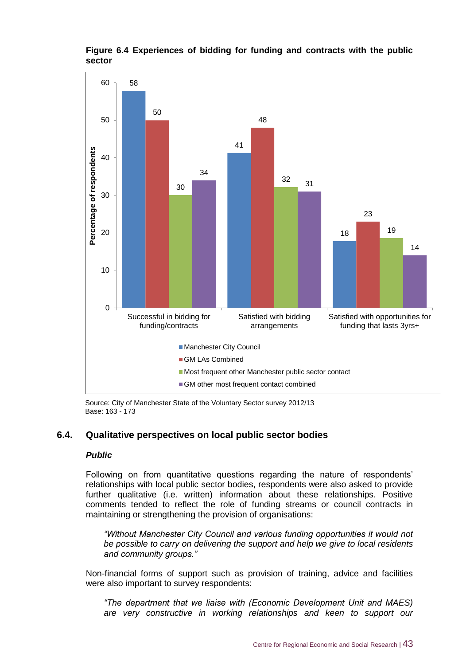

**Most frequent other Manchester public sector contact** 

GM other most frequent contact combined

#### **Figure 6.4 Experiences of bidding for funding and contracts with the public sector**

Source: City of Manchester State of the Voluntary Sector survey 2012/13 Base: 163 - 173

#### **6.4. Qualitative perspectives on local public sector bodies**

#### *Public*

Following on from quantitative questions regarding the nature of respondents' relationships with local public sector bodies, respondents were also asked to provide further qualitative (i.e. written) information about these relationships. Positive comments tended to reflect the role of funding streams or council contracts in maintaining or strengthening the provision of organisations:

*"Without Manchester City Council and various funding opportunities it would not be possible to carry on delivering the support and help we give to local residents and community groups."*

Non-financial forms of support such as provision of training, advice and facilities were also important to survey respondents:

*"The department that we liaise with (Economic Development Unit and MAES)*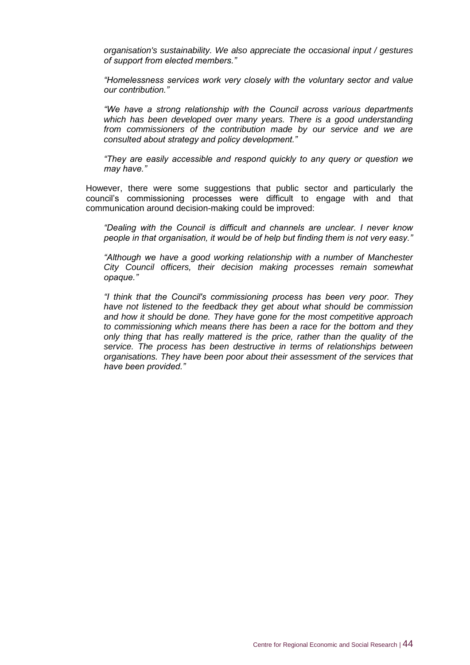*organisation's sustainability. We also appreciate the occasional input / gestures of support from elected members."*

*"Homelessness services work very closely with the voluntary sector and value our contribution."*

*"We have a strong relationship with the Council across various departments which has been developed over many years. There is a good understanding from commissioners of the contribution made by our service and we are consulted about strategy and policy development."*

*"They are easily accessible and respond quickly to any query or question we may have."*

However, there were some suggestions that public sector and particularly the council's commissioning processes were difficult to engage with and that communication around decision-making could be improved:

*"Dealing with the Council is difficult and channels are unclear. I never know people in that organisation, it would be of help but finding them is not very easy."*

*"Although we have a good working relationship with a number of Manchester City Council officers, their decision making processes remain somewhat opaque."*

*"I think that the Council's commissioning process has been very poor. They have not listened to the feedback they get about what should be commission and how it should be done. They have gone for the most competitive approach to commissioning which means there has been a race for the bottom and they only thing that has really mattered is the price, rather than the quality of the service. The process has been destructive in terms of relationships between organisations. They have been poor about their assessment of the services that have been provided."*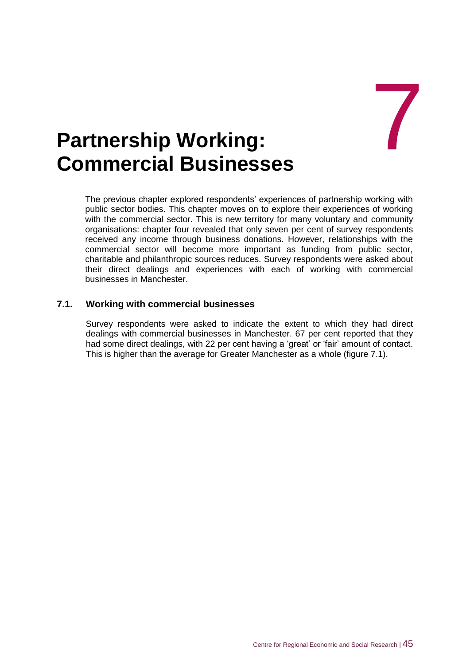7

## <span id="page-55-0"></span>**Partnership Working: Commercial Businesses**

The previous chapter explored respondents' experiences of partnership working with public sector bodies. This chapter moves on to explore their experiences of working with the commercial sector. This is new territory for many voluntary and community organisations: chapter four revealed that only seven per cent of survey respondents received any income through business donations. However, relationships with the commercial sector will become more important as funding from public sector, charitable and philanthropic sources reduces. Survey respondents were asked about their direct dealings and experiences with each of working with commercial businesses in Manchester.

#### **7.1. Working with commercial businesses**

Survey respondents were asked to indicate the extent to which they had direct dealings with commercial businesses in Manchester. 67 per cent reported that they had some direct dealings, with 22 per cent having a 'great' or 'fair' amount of contact. This is higher than the average for Greater Manchester as a whole (figure 7.1).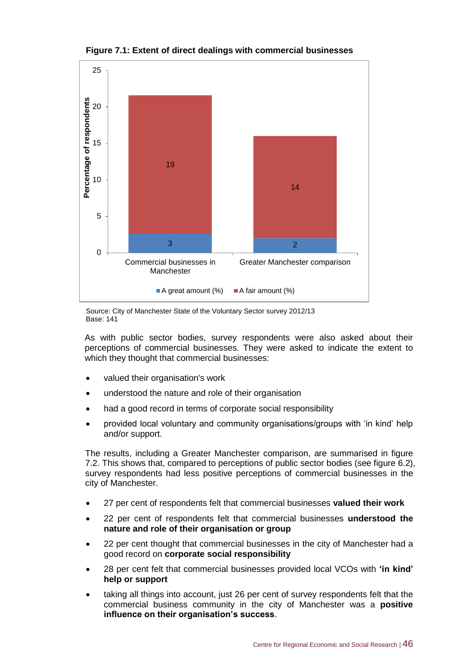

**Figure 7.1: Extent of direct dealings with commercial businesses**

Source: City of Manchester State of the Voluntary Sector survey 2012/13 Base: 141

As with public sector bodies, survey respondents were also asked about their perceptions of commercial businesses. They were asked to indicate the extent to which they thought that commercial businesses:

- valued their organisation's work
- understood the nature and role of their organisation
- had a good record in terms of corporate social responsibility
- provided local voluntary and community organisations/groups with 'in kind' help and/or support.

The results, including a Greater Manchester comparison, are summarised in figure 7.2. This shows that, compared to perceptions of public sector bodies (see figure 6.2), survey respondents had less positive perceptions of commercial businesses in the city of Manchester.

- 27 per cent of respondents felt that commercial businesses **valued their work**
- 22 per cent of respondents felt that commercial businesses **understood the nature and role of their organisation or group**
- 22 per cent thought that commercial businesses in the city of Manchester had a good record on **corporate social responsibility**
- 28 per cent felt that commercial businesses provided local VCOs with **'in kind' help or support**
- taking all things into account, just 26 per cent of survey respondents felt that the commercial business community in the city of Manchester was a **positive influence on their organisation's success**.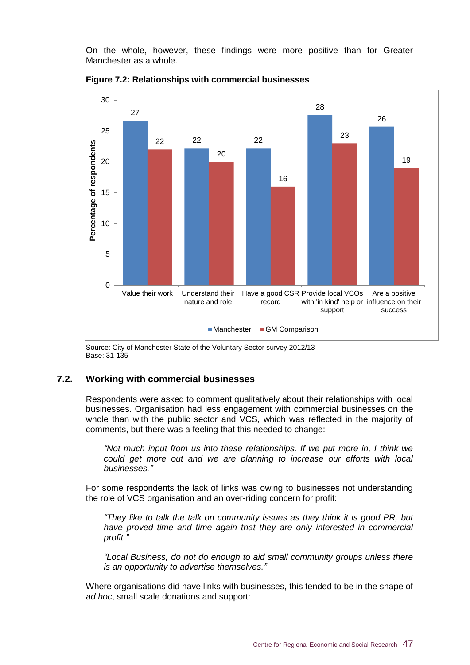On the whole, however, these findings were more positive than for Greater Manchester as a whole.



**Figure 7.2: Relationships with commercial businesses**

Source: City of Manchester State of the Voluntary Sector survey 2012/13 Base: 31-135

#### **7.2. Working with commercial businesses**

Respondents were asked to comment qualitatively about their relationships with local businesses. Organisation had less engagement with commercial businesses on the whole than with the public sector and VCS, which was reflected in the majority of comments, but there was a feeling that this needed to change:

*"Not much input from us into these relationships. If we put more in, I think we could get more out and we are planning to increase our efforts with local businesses."*

For some respondents the lack of links was owing to businesses not understanding the role of VCS organisation and an over-riding concern for profit:

*"They like to talk the talk on community issues as they think it is good PR, but have proved time and time again that they are only interested in commercial profit."*

*"Local Business, do not do enough to aid small community groups unless there is an opportunity to advertise themselves."*

Where organisations did have links with businesses, this tended to be in the shape of *ad hoc*, small scale donations and support: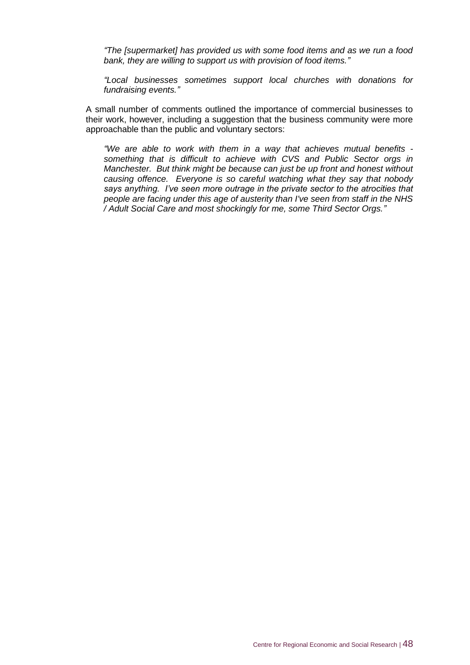*"The [supermarket] has provided us with some food items and as we run a food bank, they are willing to support us with provision of food items."*

*"Local businesses sometimes support local churches with donations for fundraising events."*

A small number of comments outlined the importance of commercial businesses to their work, however, including a suggestion that the business community were more approachable than the public and voluntary sectors:

*"We are able to work with them in a way that achieves mutual benefits something that is difficult to achieve with CVS and Public Sector orgs in Manchester. But think might be because can just be up front and honest without causing offence. Everyone is so careful watching what they say that nobody says anything. I've seen more outrage in the private sector to the atrocities that people are facing under this age of austerity than I've seen from staff in the NHS / Adult Social Care and most shockingly for me, some Third Sector Orgs."*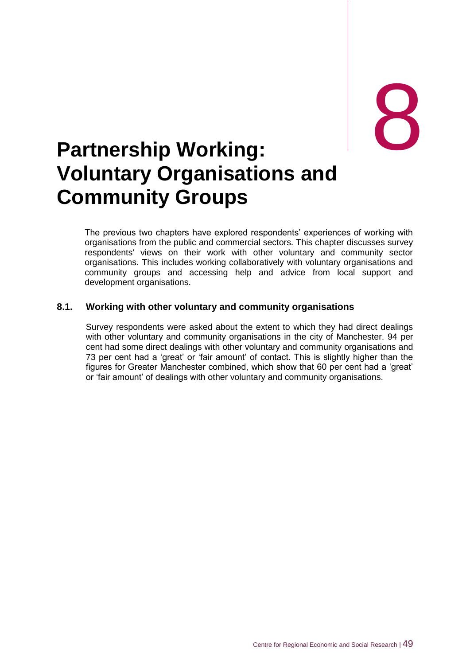# <span id="page-59-0"></span>external partnership Working: **Voluntary Organisations and Community Groups**

The previous two chapters have explored respondents' experiences of working with organisations from the public and commercial sectors. This chapter discusses survey respondents' views on their work with other voluntary and community sector organisations. This includes working collaboratively with voluntary organisations and community groups and accessing help and advice from local support and development organisations.

#### **8.1. Working with other voluntary and community organisations**

Survey respondents were asked about the extent to which they had direct dealings with other voluntary and community organisations in the city of Manchester. 94 per cent had some direct dealings with other voluntary and community organisations and 73 per cent had a 'great' or 'fair amount' of contact. This is slightly higher than the figures for Greater Manchester combined, which show that 60 per cent had a 'great' or 'fair amount' of dealings with other voluntary and community organisations.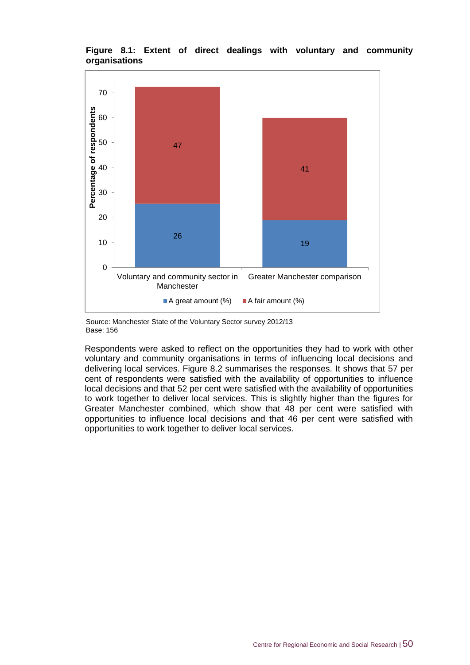

#### **Figure 8.1: Extent of direct dealings with voluntary and community organisations**

Source: Manchester State of the Voluntary Sector survey 2012/13 Base: 156

Respondents were asked to reflect on the opportunities they had to work with other voluntary and community organisations in terms of influencing local decisions and delivering local services. Figure 8.2 summarises the responses. It shows that 57 per cent of respondents were satisfied with the availability of opportunities to influence local decisions and that 52 per cent were satisfied with the availability of opportunities to work together to deliver local services. This is slightly higher than the figures for Greater Manchester combined, which show that 48 per cent were satisfied with opportunities to influence local decisions and that 46 per cent were satisfied with opportunities to work together to deliver local services.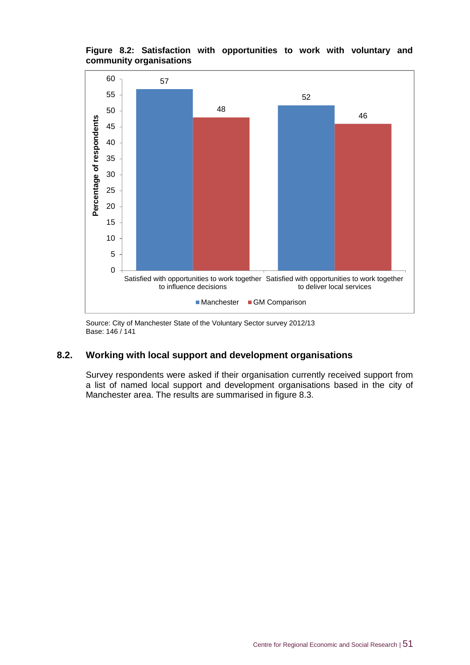#### **Figure 8.2: Satisfaction with opportunities to work with voluntary and community organisations**



Source: City of Manchester State of the Voluntary Sector survey 2012/13 Base: 146 / 141

#### **8.2. Working with local support and development organisations**

Survey respondents were asked if their organisation currently received support from a list of named local support and development organisations based in the city of Manchester area. The results are summarised in figure 8.3.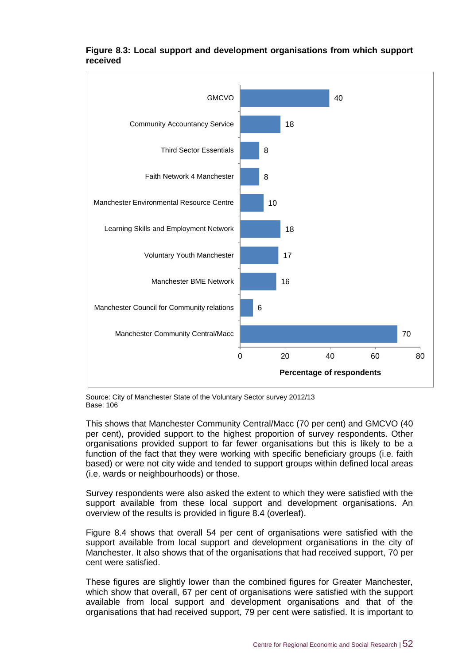

#### **Figure 8.3: Local support and development organisations from which support received**

Source: City of Manchester State of the Voluntary Sector survey 2012/13 Base: 106

This shows that Manchester Community Central/Macc (70 per cent) and GMCVO (40 per cent), provided support to the highest proportion of survey respondents. Other organisations provided support to far fewer organisations but this is likely to be a function of the fact that they were working with specific beneficiary groups (i.e. faith based) or were not city wide and tended to support groups within defined local areas (i.e. wards or neighbourhoods) or those.

Survey respondents were also asked the extent to which they were satisfied with the support available from these local support and development organisations. An overview of the results is provided in figure 8.4 (overleaf).

Figure 8.4 shows that overall 54 per cent of organisations were satisfied with the support available from local support and development organisations in the city of Manchester. It also shows that of the organisations that had received support, 70 per cent were satisfied.

These figures are slightly lower than the combined figures for Greater Manchester, which show that overall, 67 per cent of organisations were satisfied with the support available from local support and development organisations and that of the organisations that had received support, 79 per cent were satisfied. It is important to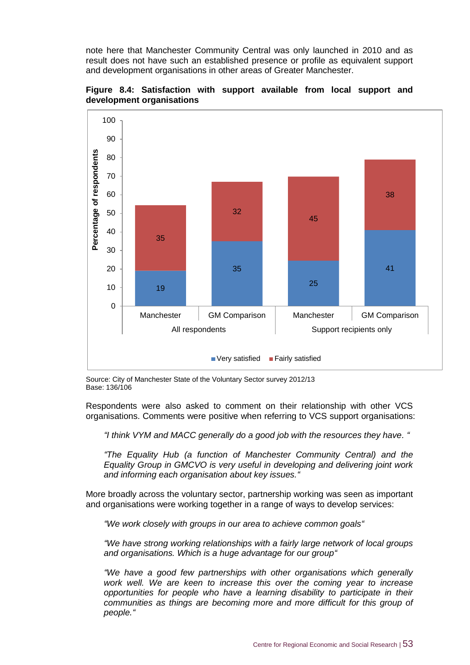note here that Manchester Community Central was only launched in 2010 and as result does not have such an established presence or profile as equivalent support and development organisations in other areas of Greater Manchester.



**Figure 8.4: Satisfaction with support available from local support and development organisations**

Source: City of Manchester State of the Voluntary Sector survey 2012/13 Base: 136/106

Respondents were also asked to comment on their relationship with other VCS organisations. Comments were positive when referring to VCS support organisations:

*"I think VYM and MACC generally do a good job with the resources they have. "*

 $\blacksquare$  Very satisfied  $\blacksquare$  Fairly satisfied

*"The Equality Hub (a function of Manchester Community Central) and the Equality Group in GMCVO is very useful in developing and delivering joint work and informing each organisation about key issues."*

More broadly across the voluntary sector, partnership working was seen as important and organisations were working together in a range of ways to develop services:

*"We work closely with groups in our area to achieve common goals"*

*"We have strong working relationships with a fairly large network of local groups and organisations. Which is a huge advantage for our group"*

*"We have a good few partnerships with other organisations which generally work well. We are keen to increase this over the coming year to increase opportunities for people who have a learning disability to participate in their communities as things are becoming more and more difficult for this group of people."*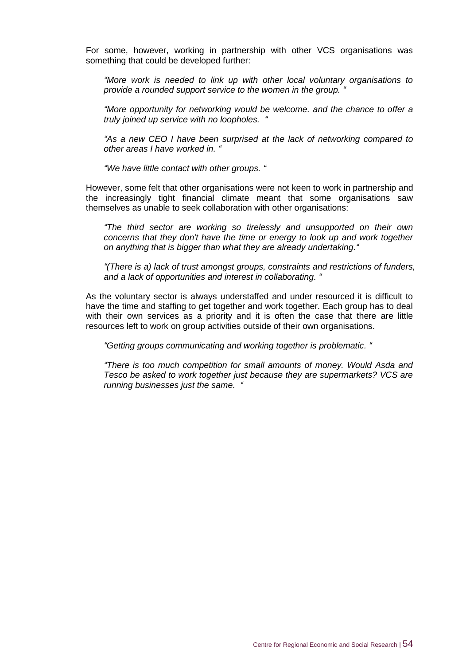For some, however, working in partnership with other VCS organisations was something that could be developed further:

*"More work is needed to link up with other local voluntary organisations to provide a rounded support service to the women in the group. "*

*"More opportunity for networking would be welcome. and the chance to offer a truly joined up service with no loopholes. "*

*"As a new CEO I have been surprised at the lack of networking compared to other areas I have worked in. "*

*"We have little contact with other groups. "*

However, some felt that other organisations were not keen to work in partnership and the increasingly tight financial climate meant that some organisations saw themselves as unable to seek collaboration with other organisations:

*"The third sector are working so tirelessly and unsupported on their own concerns that they don't have the time or energy to look up and work together on anything that is bigger than what they are already undertaking."*

*"(There is a) lack of trust amongst groups, constraints and restrictions of funders, and a lack of opportunities and interest in collaborating. "*

As the voluntary sector is always understaffed and under resourced it is difficult to have the time and staffing to get together and work together. Each group has to deal with their own services as a priority and it is often the case that there are little resources left to work on group activities outside of their own organisations.

*"Getting groups communicating and working together is problematic. "*

*"There is too much competition for small amounts of money. Would Asda and Tesco be asked to work together just because they are supermarkets? VCS are running businesses just the same. "*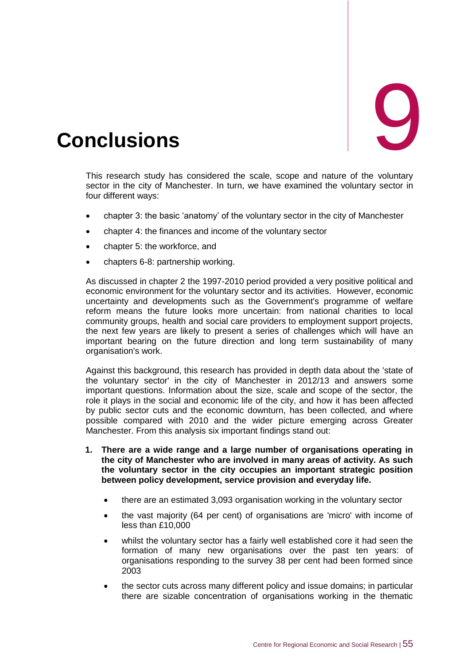<span id="page-65-0"></span>

This research study has considered the scale, scope and nature of the voluntary sector in the city of Manchester. In turn, we have examined the voluntary sector in four different ways:

- chapter 3: the basic 'anatomy' of the voluntary sector in the city of Manchester
- chapter 4: the finances and income of the voluntary sector
- chapter 5: the workforce, and
- chapters 6-8: partnership working.

As discussed in chapter 2 the 1997-2010 period provided a very positive political and economic environment for the voluntary sector and its activities. However, economic uncertainty and developments such as the Government's programme of welfare reform means the future looks more uncertain: from national charities to local community groups, health and social care providers to employment support projects, the next few years are likely to present a series of challenges which will have an important bearing on the future direction and long term sustainability of many organisation's work.

Against this background, this research has provided in depth data about the 'state of the voluntary sector' in the city of Manchester in 2012/13 and answers some important questions. Information about the size, scale and scope of the sector, the role it plays in the social and economic life of the city, and how it has been affected by public sector cuts and the economic downturn, has been collected, and where possible compared with 2010 and the wider picture emerging across Greater Manchester. From this analysis six important findings stand out:

- **1. There are a wide range and a large number of organisations operating in the city of Manchester who are involved in many areas of activity. As such the voluntary sector in the city occupies an important strategic position between policy development, service provision and everyday life.**
	- there are an estimated 3,093 organisation working in the voluntary sector
	- the vast majority (64 per cent) of organisations are 'micro' with income of less than £10,000
	- whilst the voluntary sector has a fairly well established core it had seen the formation of many new organisations over the past ten years: of organisations responding to the survey 38 per cent had been formed since 2003
	- the sector cuts across many different policy and issue domains; in particular there are sizable concentration of organisations working in the thematic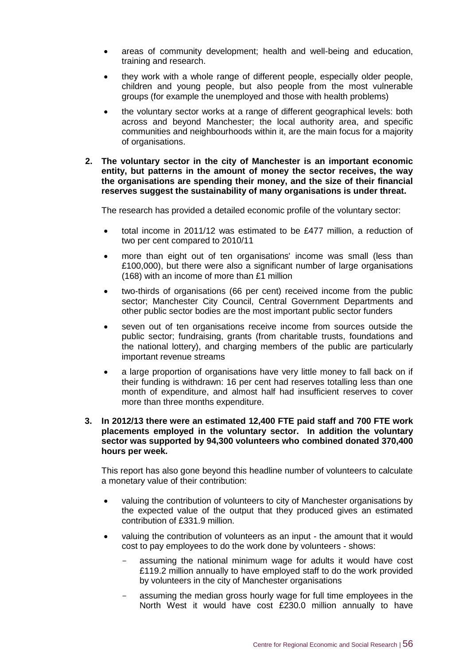- areas of community development; health and well-being and education, training and research.
- they work with a whole range of different people, especially older people, children and young people, but also people from the most vulnerable groups (for example the unemployed and those with health problems)
- the voluntary sector works at a range of different geographical levels: both across and beyond Manchester; the local authority area, and specific communities and neighbourhoods within it, are the main focus for a majority of organisations.
- **2. The voluntary sector in the city of Manchester is an important economic entity, but patterns in the amount of money the sector receives, the way the organisations are spending their money, and the size of their financial reserves suggest the sustainability of many organisations is under threat.**

The research has provided a detailed economic profile of the voluntary sector:

- total income in 2011/12 was estimated to be £477 million, a reduction of two per cent compared to 2010/11
- more than eight out of ten organisations' income was small (less than £100,000), but there were also a significant number of large organisations (168) with an income of more than £1 million
- two-thirds of organisations (66 per cent) received income from the public sector; Manchester City Council, Central Government Departments and other public sector bodies are the most important public sector funders
- seven out of ten organisations receive income from sources outside the public sector; fundraising, grants (from charitable trusts, foundations and the national lottery), and charging members of the public are particularly important revenue streams
- a large proportion of organisations have very little money to fall back on if their funding is withdrawn: 16 per cent had reserves totalling less than one month of expenditure, and almost half had insufficient reserves to cover more than three months expenditure.

#### **3. In 2012/13 there were an estimated 12,400 FTE paid staff and 700 FTE work placements employed in the voluntary sector. In addition the voluntary sector was supported by 94,300 volunteers who combined donated 370,400 hours per week.**

This report has also gone beyond this headline number of volunteers to calculate a monetary value of their contribution:

- valuing the contribution of volunteers to city of Manchester organisations by the expected value of the output that they produced gives an estimated contribution of £331.9 million.
- valuing the contribution of volunteers as an input the amount that it would cost to pay employees to do the work done by volunteers - shows:
	- assuming the national minimum wage for adults it would have cost £119.2 million annually to have employed staff to do the work provided by volunteers in the city of Manchester organisations
	- assuming the median gross hourly wage for full time employees in the North West it would have cost £230.0 million annually to have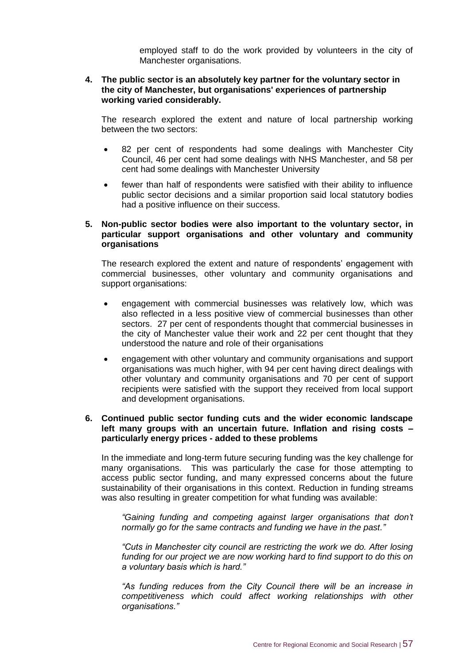employed staff to do the work provided by volunteers in the city of Manchester organisations.

#### **4. The public sector is an absolutely key partner for the voluntary sector in the city of Manchester, but organisations' experiences of partnership working varied considerably.**

The research explored the extent and nature of local partnership working between the two sectors:

- 82 per cent of respondents had some dealings with Manchester City Council, 46 per cent had some dealings with NHS Manchester, and 58 per cent had some dealings with Manchester University
- fewer than half of respondents were satisfied with their ability to influence public sector decisions and a similar proportion said local statutory bodies had a positive influence on their success.

#### **5. Non-public sector bodies were also important to the voluntary sector, in particular support organisations and other voluntary and community organisations**

The research explored the extent and nature of respondents' engagement with commercial businesses, other voluntary and community organisations and support organisations:

- engagement with commercial businesses was relatively low, which was also reflected in a less positive view of commercial businesses than other sectors. 27 per cent of respondents thought that commercial businesses in the city of Manchester value their work and 22 per cent thought that they understood the nature and role of their organisations
- engagement with other voluntary and community organisations and support organisations was much higher, with 94 per cent having direct dealings with other voluntary and community organisations and 70 per cent of support recipients were satisfied with the support they received from local support and development organisations.

#### **6. Continued public sector funding cuts and the wider economic landscape left many groups with an uncertain future. Inflation and rising costs – particularly energy prices - added to these problems**

In the immediate and long-term future securing funding was the key challenge for many organisations. This was particularly the case for those attempting to access public sector funding, and many expressed concerns about the future sustainability of their organisations in this context. Reduction in funding streams was also resulting in greater competition for what funding was available:

*"Gaining funding and competing against larger organisations that don't normally go for the same contracts and funding we have in the past."*

*"Cuts in Manchester city council are restricting the work we do. After losing funding for our project we are now working hard to find support to do this on a voluntary basis which is hard."*

*"As funding reduces from the City Council there will be an increase in competitiveness which could affect working relationships with other organisations."*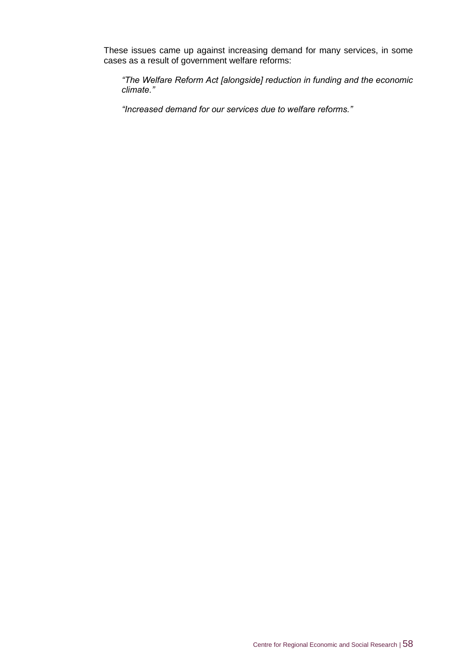These issues came up against increasing demand for many services, in some cases as a result of government welfare reforms:

*"The Welfare Reform Act [alongside] reduction in funding and the economic climate."*

*"Increased demand for our services due to welfare reforms."*